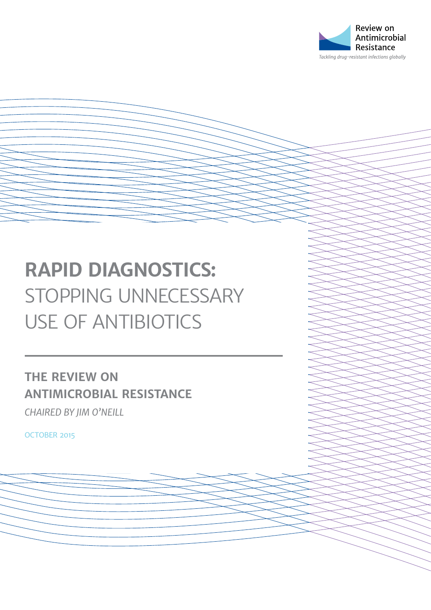

# **RAPID DIAGNOSTICS:**  STOPPING UNNECESSARY USE OF ANTIBIOTICS

**THE REVIEW ON ANTIMICROBIAL RESISTANCE** *CHAIRED BY JIM O'NEILL*

OCTOBER 2015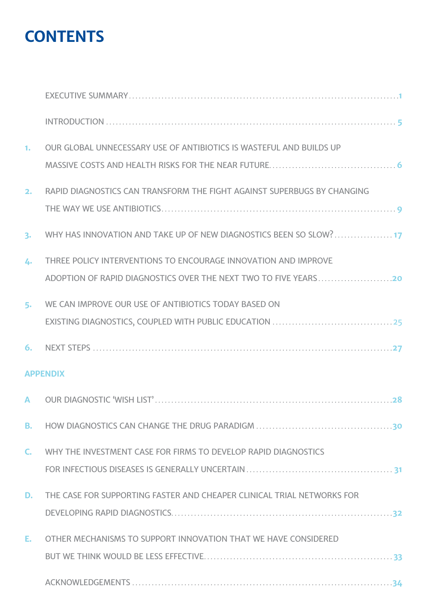## **CONTENTS**

| 1.              | OUR GLOBAL UNNECESSARY USE OF ANTIBIOTICS IS WASTEFUL AND BUILDS UP     |
|-----------------|-------------------------------------------------------------------------|
| 2.              | RAPID DIAGNOSTICS CAN TRANSFORM THE FIGHT AGAINST SUPERBUGS BY CHANGING |
| 3.              | WHY HAS INNOVATION AND TAKE UP OF NEW DIAGNOSTICS BEEN SO SLOW?17       |
| 4.              | THREE POLICY INTERVENTIONS TO ENCOURAGE INNOVATION AND IMPROVE          |
| 5.              | WE CAN IMPROVE OUR USE OF ANTIBIOTICS TODAY BASED ON                    |
| 6.              |                                                                         |
| <b>APPENDIX</b> |                                                                         |
| $\mathbf{A}$    |                                                                         |
| В.              |                                                                         |
| $\mathsf{C}$    | WHY THE INVESTMENT CASE FOR FIRMS TO DEVELOP RAPID DIAGNOSTICS          |
| D.              | THE CASE FOR SUPPORTING FASTER AND CHEAPER CLINICAL TRIAL NETWORKS FOR  |
| Е.              | OTHER MECHANISMS TO SUPPORT INNOVATION THAT WE HAVE CONSIDERED          |
|                 |                                                                         |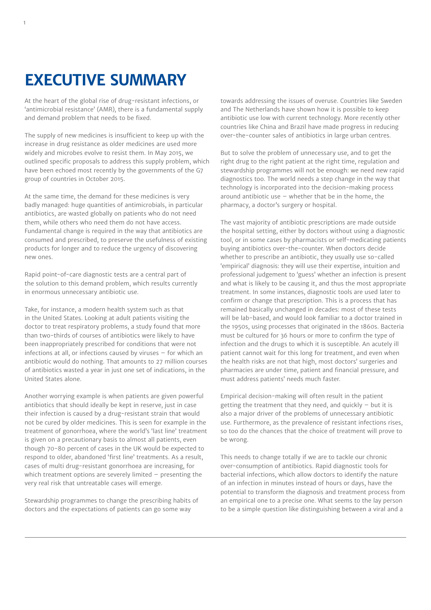## **EXECUTIVE SUMMARY**

At the heart of the global rise of drug-resistant infections, or 'antimicrobial resistance' (AMR), there is a fundamental supply and demand problem that needs to be fixed.

The supply of new medicines is insufficient to keep up with the increase in drug resistance as older medicines are used more widely and microbes evolve to resist them. In May 2015, we outlined specific proposals to address this supply problem, which have been echoed most recently by the governments of the G7 group of countries in October 2015.

At the same time, the demand for these medicines is very badly managed: huge quantities of antimicrobials, in particular antibiotics, are wasted globally on patients who do not need them, while others who need them do not have access. Fundamental change is required in the way that antibiotics are consumed and prescribed, to preserve the usefulness of existing products for longer and to reduce the urgency of discovering new ones.

Rapid point-of-care diagnostic tests are a central part of the solution to this demand problem, which results currently in enormous unnecessary antibiotic use.

Take, for instance, a modern health system such as that in the United States. Looking at adult patients visiting the doctor to treat respiratory problems, a study found that more than two-thirds of courses of antibiotics were likely to have been inappropriately prescribed for conditions that were not infections at all, or infections caused by viruses – for which an antibiotic would do nothing. That amounts to 27 million courses of antibiotics wasted a year in just one set of indications, in the United States alone.

Another worrying example is when patients are given powerful antibiotics that should ideally be kept in reserve, just in case their infection is caused by a drug-resistant strain that would not be cured by older medicines. This is seen for example in the treatment of gonorrhoea, where the world's 'last line' treatment is given on a precautionary basis to almost all patients, even though 70-80 percent of cases in the UK would be expected to respond to older, abandoned 'first line' treatments. As a result, cases of multi drug-resistant gonorrhoea are increasing, for which treatment options are severely limited – presenting the very real risk that untreatable cases will emerge.

Stewardship programmes to change the prescribing habits of doctors and the expectations of patients can go some way

towards addressing the issues of overuse. Countries like Sweden and The Netherlands have shown how it is possible to keep antibiotic use low with current technology. More recently other countries like China and Brazil have made progress in reducing over-the-counter sales of antibiotics in large urban centres.

But to solve the problem of unnecessary use, and to get the right drug to the right patient at the right time, regulation and stewardship programmes will not be enough: we need new rapid diagnostics too. The world needs a step change in the way that technology is incorporated into the decision-making process around antibiotic use  $-$  whether that be in the home, the pharmacy, a doctor's surgery or hospital.

The vast majority of antibiotic prescriptions are made outside the hospital setting, either by doctors without using a diagnostic tool, or in some cases by pharmacists or self-medicating patients buying antibiotics over-the-counter. When doctors decide whether to prescribe an antibiotic, they usually use so-called 'empirical' diagnosis: they will use their expertise, intuition and professional judgement to 'guess' whether an infection is present and what is likely to be causing it, and thus the most appropriate treatment. In some instances, diagnostic tools are used later to confirm or change that prescription. This is a process that has remained basically unchanged in decades: most of these tests will be lab-based, and would look familiar to a doctor trained in the 1950s, using processes that originated in the 1860s. Bacteria must be cultured for 36 hours or more to confirm the type of infection and the drugs to which it is susceptible. An acutely ill patient cannot wait for this long for treatment, and even when the health risks are not that high, most doctors' surgeries and pharmacies are under time, patient and financial pressure, and must address patients' needs much faster.

Empirical decision-making will often result in the patient getting the treatment that they need, and quickly – but it is also a major driver of the problems of unnecessary antibiotic use. Furthermore, as the prevalence of resistant infections rises, so too do the chances that the choice of treatment will prove to be wrong.

This needs to change totally if we are to tackle our chronic over-consumption of antibiotics. Rapid diagnostic tools for bacterial infections, which allow doctors to identify the nature of an infection in minutes instead of hours or days, have the potential to transform the diagnosis and treatment process from an empirical one to a precise one. What seems to the lay person to be a simple question like distinguishing between a viral and a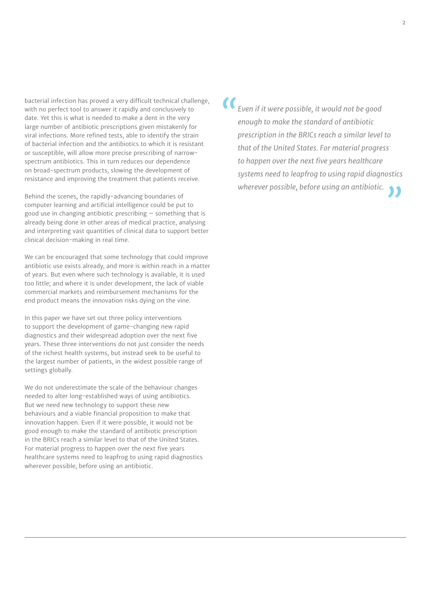bacterial infection has proved a very difficult technical challenge, with no perfect tool to answer it rapidly and conclusively to date. Yet this is what is needed to make a dent in the very large number of antibiotic prescriptions given mistakenly for viral infections. More refined tests, able to identify the strain of bacterial infection and the antibiotics to which it is resistant or susceptible, will allow more precise prescribing of narrowspectrum antibiotics. This in turn reduces our dependence on broad-spectrum products, slowing the development of resistance and improving the treatment that patients receive.

Behind the scenes, the rapidly-advancing boundaries of computer learning and artificial intelligence could be put to good use in changing antibiotic prescribing – something that is already being done in other areas of medical practice, analysing and interpreting vast quantities of clinical data to support better clinical decision-making in real time.

We can be encouraged that some technology that could improve antibiotic use exists already, and more is within reach in a matter of years. But even where such technology is available, it is used too little; and where it is under development, the lack of viable commercial markets and reimbursement mechanisms for the end product means the innovation risks dying on the vine.

In this paper we have set out three policy interventions to support the development of game-changing new rapid diagnostics and their widespread adoption over the next five years. These three interventions do not just consider the needs of the richest health systems, but instead seek to be useful to the largest number of patients, in the widest possible range of settings globally.

We do not underestimate the scale of the behaviour changes needed to alter long-established ways of using antibiotics. But we need new technology to support these new behaviours and a viable financial proposition to make that innovation happen. Even if it were possible, it would not be good enough to make the standard of antibiotic prescription in the BRICs reach a similar level to that of the United States. For material progress to happen over the next five years healthcare systems need to leapfrog to using rapid diagnostics wherever possible, before using an antibiotic.

*"Even if it were possible, it would not be good enough to make the standard of antibiotic prescription in the BRICs reach a similar level to that of the United States. For material progress to happen over the next five years healthcare systems need to leapfrog to using rapid diagnostics wherever possible, before using an antibiotic."*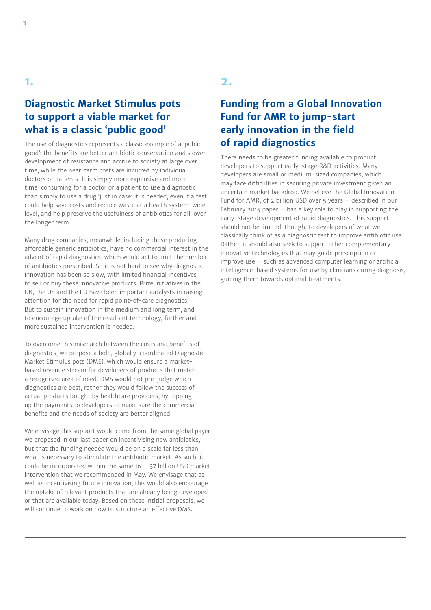#### **Diagnostic Market Stimulus pots to support a viable market for what is a classic 'public good'**

The use of diagnostics represents a classic example of a 'public good': the benefits are better antibiotic conservation and slower development of resistance and accrue to society at large over time, while the near-term costs are incurred by individual doctors or patients. It is simply more expensive and more time-consuming for a doctor or a patient to use a diagnostic than simply to use a drug 'just in case' it is needed, even if a test could help save costs and reduce waste at a health system-wide level, and help preserve the usefulness of antibiotics for all, over the longer term.

Many drug companies, meanwhile, including those producing affordable generic antibiotics, have no commercial interest in the advent of rapid diagnostics, which would act to limit the number of antibiotics prescribed. So it is not hard to see why diagnostic innovation has been so slow, with limited financial incentives to sell or buy these innovative products. Prize initiatives in the UK, the US and the EU have been important catalysts in raising attention for the need for rapid point-of-care diagnostics. But to sustain innovation in the medium and long term, and to encourage uptake of the resultant technology, further and more sustained intervention is needed.

To overcome this mismatch between the costs and benefits of diagnostics, we propose a bold, globally-coordinated Diagnostic Market Stimulus pots (DMS), which would ensure a marketbased revenue stream for developers of products that match a recognised area of need. DMS would not pre-judge which diagnostics are best, rather they would follow the success of actual products bought by healthcare providers, by topping up the payments to developers to make sure the commercial benefits and the needs of society are better aligned.

We envisage this support would come from the same global payer we proposed in our last paper on incentivising new antibiotics, but that the funding needed would be on a scale far less than what is necessary to stimulate the antibiotic market. As such, it could be incorporated within the same  $16 - 37$  billion USD market intervention that we recommended in May. We envisage that as well as incentivising future innovation, this would also encourage the uptake of relevant products that are already being developed or that are available today. Based on these intitial proposals, we will continue to work on how to structure an effective DMS.

#### **2.**

#### **Funding from a Global Innovation Fund for AMR to jump-start early innovation in the field of rapid diagnostics**

There needs to be greater funding available to product developers to support early-stage R&D activities. Many developers are small or medium-sized companies, which may face difficulties in securing private investment given an uncertain market backdrop. We believe the Global Innovation Fund for AMR, of 2 billion USD over 5 years – described in our February 2015 paper  $-$  has a key role to play in supporting the early-stage development of rapid diagnostics. This support should not be limited, though, to developers of what we classically think of as a diagnostic test to improve antibiotic use. Rather, it should also seek to support other complementary innovative technologies that may guide prescription or improve use – such as advanced computer learning or artificial intelligence-based systems for use by clinicians during diagnosis, guiding them towards optimal treatments.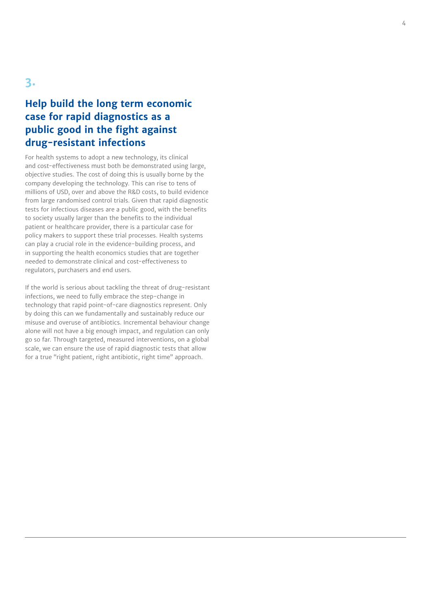### **Help build the long term economic case for rapid diagnostics as a public good in the fight against drug -resistant infections**

For health systems to adopt a new technology, its clinical and cost-effectiveness must both be demonstrated using large, objective studies. The cost of doing this is usually borne by the company developing the technology. This can rise to tens of millions of USD, over and above the R&D costs, to build evidence from large randomised control trials. Given that rapid diagnostic tests for infectious diseases are a public good, with the benefits to society usually larger than the benefits to the individual patient or healthcare provider, there is a particular case for policy makers to support these trial processes. Health systems can play a crucial role in the evidence-building process, and in supporting the health economics studies that are together needed to demonstrate clinical and cost-effectiveness to regulators, purchasers and end users.

If the world is serious about tackling the threat of drug-resistant infections, we need to fully embrace the step-change in technology that rapid point-of-care diagnostics represent. Only by doing this can we fundamentally and sustainably reduce our misuse and overuse of antibiotics. Incremental behaviour change alone will not have a big enough impact, and regulation can only go so far. Through targeted, measured interventions, on a global scale, we can ensure the use of rapid diagnostic tests that allow for a true "right patient, right antibiotic, right time" approach.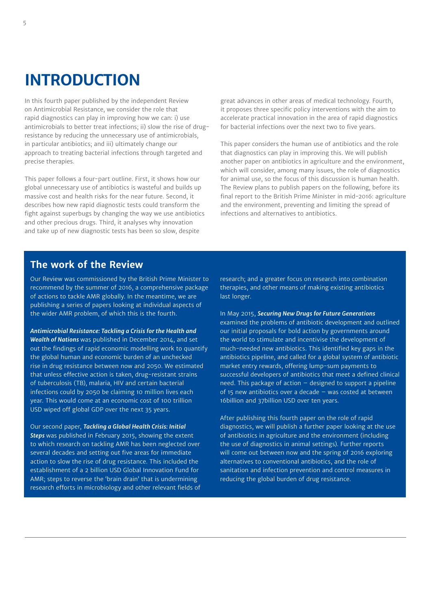## **INTRODUCTION**

In this fourth paper published by the independent Review on Antimicrobial Resistance, we consider the role that rapid diagnostics can play in improving how we can: i) use antimicrobials to better treat infections; ii) slow the rise of drugresistance by reducing the unnecessary use of antimicrobials, in particular antibiotics; and iii) ultimately change our approach to treating bacterial infections through targeted and precise therapies.

This paper follows a four-part outline. First, it shows how our global unnecessary use of antibiotics is wasteful and builds up massive cost and health risks for the near future. Second, it describes how new rapid diagnostic tests could transform the fight against superbugs by changing the way we use antibiotics and other precious drugs. Third, it analyses why innovation and take up of new diagnostic tests has been so slow, despite

great advances in other areas of medical technology. Fourth, it proposes three specific policy interventions with the aim to accelerate practical innovation in the area of rapid diagnostics for bacterial infections over the next two to five years.

This paper considers the human use of antibiotics and the role that diagnostics can play in improving this. We will publish another paper on antibiotics in agriculture and the environment, which will consider, among many issues, the role of diagnostics for animal use, so the focus of this discussion is human health. The Review plans to publish papers on the following, before its final report to the British Prime Minister in mid-2016: agriculture and the environment, preventing and limiting the spread of infections and alternatives to antibiotics.

#### **The work of the Review**

Our Review was commissioned by the British Prime Minister to recommend by the summer of 2016, a comprehensive package of actions to tackle AMR globally. In the meantime, we are publishing a series of papers looking at individual aspects of the wider AMR problem, of which this is the fourth.

*Antimicrobial Resistance: Tackling a Crisis for the Health and Wealth of Nations* was published in December 2014, and set out the findings of rapid economic modelling work to quantify the global human and economic burden of an unchecked rise in drug resistance between now and 2050. We estimated that unless effective action is taken, drug-resistant strains of tuberculosis (TB), malaria, HIV and certain bacterial infections could by 2050 be claiming 10 million lives each year. This would come at an economic cost of 100 trillion USD wiped off global GDP over the next 35 years.

Our second paper, *Tackling a Global Health Crisis: Initial Steps* was published in February 2015, showing the extent to which research on tackling AMR has been neglected over several decades and setting out five areas for immediate action to slow the rise of drug resistance. This included the establishment of a 2 billion USD Global Innovation Fund for AMR; steps to reverse the 'brain drain' that is undermining research efforts in microbiology and other relevant fields of

research; and a greater focus on research into combination therapies, and other means of making existing antibiotics last longer.

In May 2015, *Securing New Drugs for Future Generations* examined the problems of antibiotic development and outlined our initial proposals for bold action by governments around the world to stimulate and incentivise the development of much-needed new antibiotics. This identified key gaps in the antibiotics pipeline, and called for a global system of antibiotic market entry rewards, offering lump-sum payments to successful developers of antibiotics that meet a defined clinical need. This package of action – designed to support a pipeline of 15 new antibiotics over a decade – was costed at between 16billion and 37billion USD over ten years.

After publishing this fourth paper on the role of rapid diagnostics, we will publish a further paper looking at the use of antibiotics in agriculture and the environment (including the use of diagnostics in animal settings). Further reports will come out between now and the spring of 2016 exploring alternatives to conventional antibiotics, and the role of sanitation and infection prevention and control measures in reducing the global burden of drug resistance.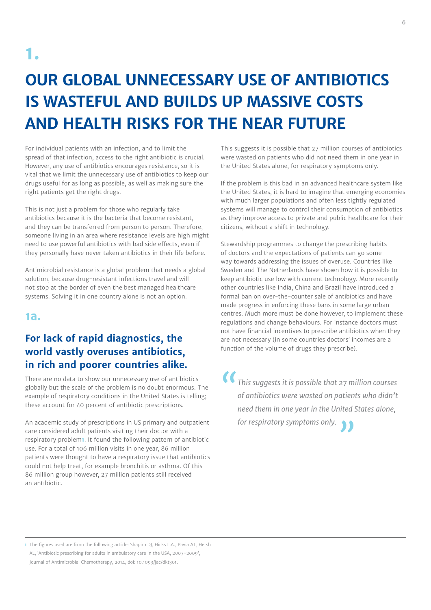# **OUR GLOBAL UNNECESSARY USE OF ANTIBIOTICS IS WASTEFUL AND BUILDS UP MASSIVE COSTS AND HEALTH RISKS FOR THE NEAR FUTURE**

For individual patients with an infection, and to limit the spread of that infection, access to the right antibiotic is crucial. However, any use of antibiotics encourages resistance, so it is vital that we limit the unnecessary use of antibiotics to keep our drugs useful for as long as possible, as well as making sure the right patients get the right drugs.

This is not just a problem for those who regularly take antibiotics because it is the bacteria that become resistant, and they can be transferred from person to person. Therefore, someone living in an area where resistance levels are high might need to use powerful antibiotics with bad side effects, even if they personally have never taken antibiotics in their life before.

Antimicrobial resistance is a global problem that needs a global solution, because drug-resistant infections travel and will not stop at the border of even the best managed healthcare systems. Solving it in one country alone is not an option.

#### **1a.**

### **For lack of rapid diagnostics, the world vastly overuses antibiotics, in rich and poorer countries alike.**

There are no data to show our unnecessary use of antibiotics globally but the scale of the problem is no doubt enormous. The example of respiratory conditions in the United States is telling; these account for 40 percent of antibiotic prescriptions.

An academic study of prescriptions in US primary and outpatient care considered adult patients visiting their doctor with a respiratory problem**1**. It found the following pattern of antibiotic use. For a total of 106 million visits in one year, 86 million patients were thought to have a respiratory issue that antibiotics could not help treat, for example bronchitis or asthma. Of this 86 million group however, 27 million patients still received an antibiotic.

This suggests it is possible that 27 million courses of antibiotics were wasted on patients who did not need them in one year in the United States alone, for respiratory symptoms only.

If the problem is this bad in an advanced healthcare system like the United States, it is hard to imagine that emerging economies with much larger populations and often less tightly regulated systems will manage to control their consumption of antibiotics as they improve access to private and public healthcare for their citizens, without a shift in technology.

Stewardship programmes to change the prescribing habits of doctors and the expectations of patients can go some way towards addressing the issues of overuse. Countries like Sweden and The Netherlands have shown how it is possible to keep antibiotic use low with current technology. More recently other countries like India, China and Brazil have introduced a formal ban on over-the-counter sale of antibiotics and have made progress in enforcing these bans in some large urban centres. Much more must be done however, to implement these regulations and change behaviours. For instance doctors must not have financial incentives to prescribe antibiotics when they are not necessary (in some countries doctors' incomes are a function of the volume of drugs they prescribe).

*"This suggests it is possible that 27 million courses of antibiotics were wasted on patients who didn't need them in one year in the United States alone, for respiratory symptoms only."*

**1** The figures used are from the following article: Shapiro DJ, Hicks L.A., Pavia AT, Hersh AL, 'Antibiotic prescribing for adults in ambulatory care in the USA, 2007-2009', Journal of Antimicrobial Chemotherapy, 2014, doi: 10.1093/jac/dkt301.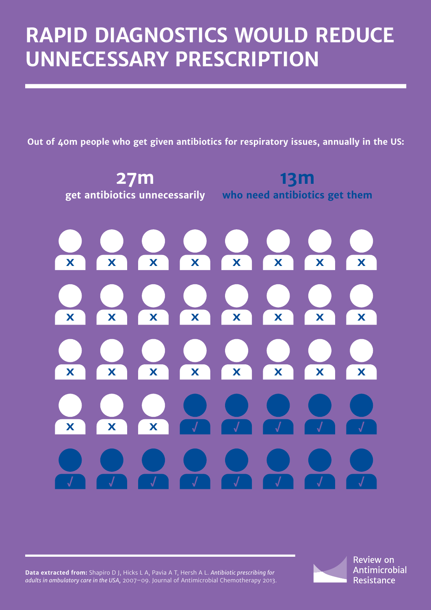# **RAPID DIAGNOSTICS WOULD REDUCE UNNECESSARY PRESCRIPTION**

**Out of 40m people who get given antibiotics for respiratory issues, annually in the US:**



**Data extracted from:** Shapiro D J, Hicks L A, Pavia A T, Hersh A L. *Antibiotic prescribing for adults in ambulatory care in the USA,* 2007–09. Journal of Antimicrobial Chemotherapy 2013. **Review on Antimicrobial** Resistance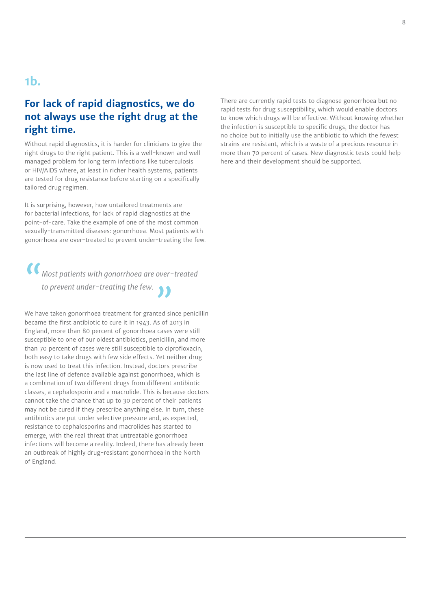### **1b.**

#### **For lack of rapid diagnostics, we do not always use the right drug at the right time.**

Without rapid diagnostics, it is harder for clinicians to give the right drugs to the right patient. This is a well-known and well managed problem for long term infections like tuberculosis or HIV/AIDS where, at least in richer health systems, patients are tested for drug resistance before starting on a specifically tailored drug regimen.

It is surprising, however, how untailored treatments are for bacterial infections, for lack of rapid diagnostics at the point-of-care. Take the example of one of the most common sexually-transmitted diseases: gonorrhoea. Most patients with gonorrhoea are over-treated to prevent under-treating the few.

*"Most patients with gonorrhoea are over-treated to prevent under-treating the few."*

We have taken gonorrhoea treatment for granted since penicillin became the first antibiotic to cure it in 1943. As of 2013 in England, more than 80 percent of gonorrhoea cases were still susceptible to one of our oldest antibiotics, penicillin, and more than 70 percent of cases were still susceptible to ciprofloxacin, both easy to take drugs with few side effects. Yet neither drug is now used to treat this infection. Instead, doctors prescribe the last line of defence available against gonorrhoea, which is a combination of two different drugs from different antibiotic classes, a cephalosporin and a macrolide. This is because doctors cannot take the chance that up to 30 percent of their patients may not be cured if they prescribe anything else. In turn, these antibiotics are put under selective pressure and, as expected, resistance to cephalosporins and macrolides has started to emerge, with the real threat that untreatable gonorrhoea infections will become a reality. Indeed, there has already been an outbreak of highly drug-resistant gonorrhoea in the North of England.

There are currently rapid tests to diagnose gonorrhoea but no rapid tests for drug susceptibility, which would enable doctors to know which drugs will be effective. Without knowing whether the infection is susceptible to specific drugs, the doctor has no choice but to initially use the antibiotic to which the fewest strains are resistant, which is a waste of a precious resource in more than 70 percent of cases. New diagnostic tests could help here and their development should be supported.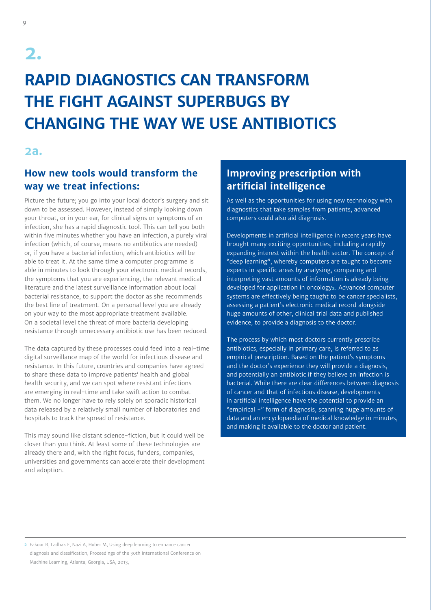# **RAPID DIAGNOSTICS CAN TRANSFORM THE FIGHT AGAINST SUPERBUGS BY CHANGING THE WAY WE USE ANTIBIOTICS**

#### **2a.**

#### **How new tools would transform the way we treat infections:**

Picture the future; you go into your local doctor's surgery and sit down to be assessed. However, instead of simply looking down your throat, or in your ear, for clinical signs or symptoms of an infection, she has a rapid diagnostic tool. This can tell you both within five minutes whether you have an infection, a purely viral infection (which, of course, means no antibiotics are needed) or, if you have a bacterial infection, which antibiotics will be able to treat it. At the same time a computer programme is able in minutes to look through your electronic medical records, the symptoms that you are experiencing, the relevant medical literature and the latest surveillance information about local bacterial resistance, to support the doctor as she recommends the best line of treatment. On a personal level you are already on your way to the most appropriate treatment available. On a societal level the threat of more bacteria developing resistance through unnecessary antibiotic use has been reduced.

The data captured by these processes could feed into a real-time digital surveillance map of the world for infectious disease and resistance. In this future, countries and companies have agreed to share these data to improve patients' health and global health security, and we can spot where resistant infections are emerging in real-time and take swift action to combat them. We no longer have to rely solely on sporadic historical data released by a relatively small number of laboratories and hospitals to track the spread of resistance.

This may sound like distant science-fiction, but it could well be closer than you think. At least some of these technologies are already there and, with the right focus, funders, companies, universities and governments can accelerate their development and adoption.

## **Improving prescription with artificial intelligence**

As well as the opportunities for using new technology with diagnostics that take samples from patients, advanced computers could also aid diagnosis.

Developments in artificial intelligence in recent years have brought many exciting opportunities, including a rapidly expanding interest within the health sector. The concept of "deep learning", whereby computers are taught to become experts in specific areas by analysing, comparing and interpreting vast amounts of information is already being developed for application in oncology**2**. Advanced computer systems are effectively being taught to be cancer specialists, assessing a patient's electronic medical record alongside huge amounts of other, clinical trial data and published evidence, to provide a diagnosis to the doctor.

The process by which most doctors currently prescribe antibiotics, especially in primary care, is referred to as empirical prescription. Based on the patient's symptoms and the doctor's experience they will provide a diagnosis, and potentially an antibiotic if they believe an infection is bacterial. While there are clear differences between diagnosis of cancer and that of infectious disease, developments in artificial intelligence have the potential to provide an "empirical +" form of diagnosis, scanning huge amounts of data and an encyclopaedia of medical knowledge in minutes, and making it available to the doctor and patient.

**2** Fakoor R, Ladhak F, Nazi A, Huber M, Using deep learning to enhance cancer diagnosis and classification, Proceedings of the 30th International Conference on Machine Learning, Atlanta, Georgia, USA, 2013,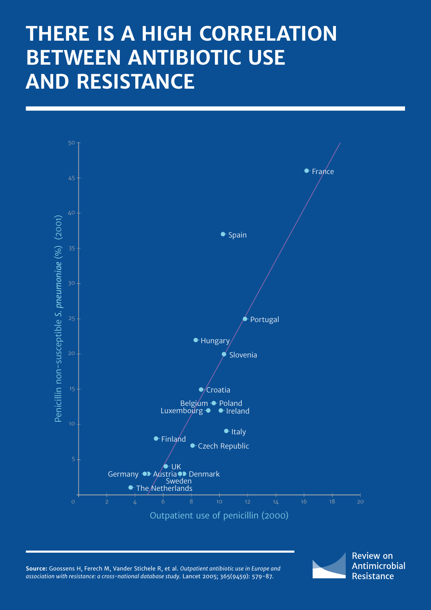# **THERE IS A HIGH CORRELATION BETWEEN ANTIBIOTIC USE AND RESISTANCE**



**Source:** Goossens H, Ferech M, Vander Stichele R, et al. *Outpatient antibiotic use in Europe and association with resistance: a cross-national database study.* Lancet 2005; 365(9459): 579-87.

**Review on** Antimicrobial Resistance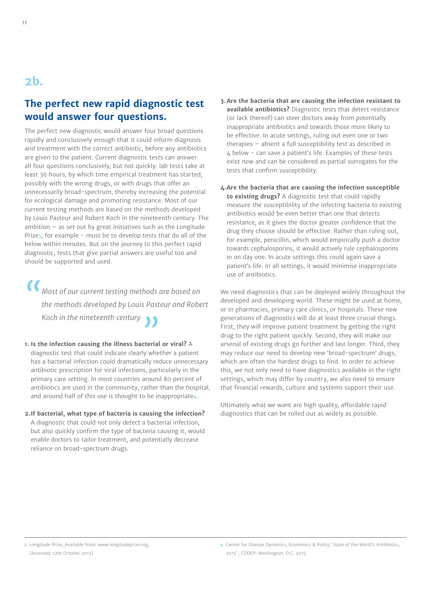### **2b.**

#### **The perfect new rapid diagnostic test would answer four questions.**

The perfect new diagnostic would answer four broad questions rapidly and conclusively enough that it could inform diagnosis and treatment with the correct antibiotic, before any antibiotics are given to the patient. Current diagnostic tests can answer all four questions conclusively, but not quickly: lab tests take at least 36 hours, by which time empirical treatment has started, possibly with the wrong drugs, or with drugs that offer an unnecessarily broad-spectrum, thereby increasing the potential for ecological damage and promoting resistance. Most of our current testing methods are based on the methods developed by Louis Pasteur and Robert Koch in the nineteenth century. The ambition  $-$  as set out by great initiatives such as the Longitude Prize**3**, for example - must be to develop tests that do all of the below within minutes. But on the journey to this perfect rapid diagnostic, tests that give partial answers are useful too and should be supported and used.

*"Most of our current testing methods are based on the methods developed by Louis Pasteur and Robert Koch in the nineteenth century"*

- **1. Is the infection causing the illness bacterial or viral?** A diagnostic test that could indicate clearly whether a patient has a bacterial infection could dramatically reduce unnecessary antibiotic prescription for viral infections, particularly in the primary care setting. In most countries around 80 percent of antibiotics are used in the community, rather than the hospital, and around half of this use is thought to be inappropriate**4**.
- **2.If bacterial, what type of bacteria is causing the infection?**  A diagnostic that could not only detect a bacterial infection, but also quickly confirm the type of bacteria causing it, would enable doctors to tailor treatment, and potentially decrease reliance on broad-spectrum drugs.
- **3. Are the bacteria that are causing the infection resistant to available antibiotics?** Diagnostic tests that detect resistance (or lack thereof) can steer doctors away from potentially inappropriate antibiotics and towards those more likely to be effective. In acute settings, ruling out even one or two therapies – absent a full susceptibility test as described in 4 below - can save a patient's life. Examples of these tests exist now and can be considered as partial surrogates for the tests that confirm susceptibility.
- **4.Are the bacteria that are causing the infection susceptible to existing drugs?** A diagnostic test that could rapidly measure the susceptibility of the infecting bacteria to existing antibiotics would be even better than one that detects resistance, as it gives the doctor greater confidence that the drug they choose should be effective. Rather than ruling out, for example, penicillin, which would empirically push a doctor towards cephalosporins, it would actively rule cephalosporins in on day one. In acute settings this could again save a patient's life. In all settings, it would minimise inappropriate use of antibiotics.

We need diagnostics that can be deployed widely throughout the developed and developing world. These might be used at home, or in pharmacies, primary care clinics, or hospitals. These new generations of diagnostics will do at least three crucial things. First, they will improve patient treatment by getting the right drug to the right patient quickly. Second, they will make our arsenal of existing drugs go further and last longer. Third, they may reduce our need to develop new 'broad-spectrum' drugs, which are often the hardest drugs to find. In order to achieve this, we not only need to have diagnostics available in the right settings, which may differ by country, we also need to ensure that financial rewards, culture and systems support their use.

Ultimately what we want are high quality, affordable rapid diagnostics that can be rolled out as widely as possible.

**3** Longitude Prize, Available from: www.longitudeprize.org, [Accessed: 12th October 2015]

**<sup>4</sup>** Center for Disease Dynamics, Economics & Policy,' State of the World's Antibiotics, 2015' , CDDEP: Washington, D.C, 2015.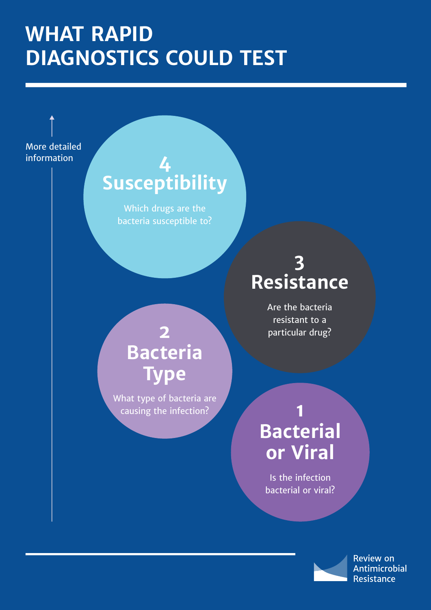# **WHAT RAPID DIAGNOSTICS COULD TEST**

More detailed information

# **4 Susceptibility**

Which drugs are the bacteria susceptible to?

# **2 Bacteria Type**

What type of bacteria are causing the infection?

# **3 Resistance**

Are the bacteria resistant to a particular drug?

# **1 Bacterial or Viral**

Is the infection bacterial or viral?

> **Review on Antimicrobial Resistance**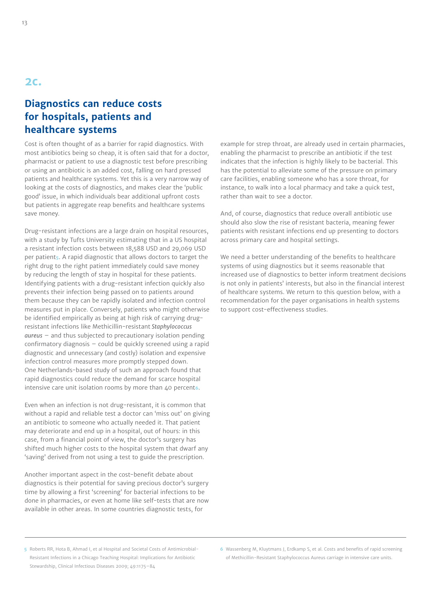#### **2c.**

#### **Diagnostics can reduce costs for hospitals, patients and healthcare systems**

Cost is often thought of as a barrier for rapid diagnostics. With most antibiotics being so cheap, it is often said that for a doctor, pharmacist or patient to use a diagnostic test before prescribing or using an antibiotic is an added cost, falling on hard pressed patients and healthcare systems. Yet this is a very narrow way of looking at the costs of diagnostics, and makes clear the 'public good' issue, in which individuals bear additional upfront costs but patients in aggregate reap benefits and healthcare systems save money.

Drug-resistant infections are a large drain on hospital resources, with a study by Tufts University estimating that in a US hospital a resistant infection costs between 18,588 USD and 29,069 USD per patient**5**. A rapid diagnostic that allows doctors to target the right drug to the right patient immediately could save money by reducing the length of stay in hospital for these patients. Identifying patients with a drug-resistant infection quickly also prevents their infection being passed on to patients around them because they can be rapidly isolated and infection control measures put in place. Conversely, patients who might otherwise be identified empirically as being at high risk of carrying drugresistant infections like Methicillin-resistant *Staphylococcus aureus* – and thus subjected to precautionary isolation pending confirmatory diagnosis – could be quickly screened using a rapid diagnostic and unnecessary (and costly) isolation and expensive infection control measures more promptly stepped down. One Netherlands-based study of such an approach found that rapid diagnostics could reduce the demand for scarce hospital intensive care unit isolation rooms by more than 40 percent**6**.

Even when an infection is not drug-resistant, it is common that without a rapid and reliable test a doctor can 'miss out' on giving an antibiotic to someone who actually needed it. That patient may deteriorate and end up in a hospital, out of hours: in this case, from a financial point of view, the doctor's surgery has shifted much higher costs to the hospital system that dwarf any 'saving' derived from not using a test to guide the prescription.

Another important aspect in the cost-benefit debate about diagnostics is their potential for saving precious doctor's surgery time by allowing a first 'screening' for bacterial infections to be done in pharmacies, or even at home like self-tests that are now available in other areas. In some countries diagnostic tests, for

example for strep throat, are already used in certain pharmacies, enabling the pharmacist to prescribe an antibiotic if the test indicates that the infection is highly likely to be bacterial. This has the potential to alleviate some of the pressure on primary care facilities, enabling someone who has a sore throat, for instance, to walk into a local pharmacy and take a quick test, rather than wait to see a doctor.

And, of course, diagnostics that reduce overall antibiotic use should also slow the rise of resistant bacteria, meaning fewer patients with resistant infections end up presenting to doctors across primary care and hospital settings.

We need a better understanding of the benefits to healthcare systems of using diagnostics but it seems reasonable that increased use of diagnostics to better inform treatment decisions is not only in patients' interests, but also in the financial interest of healthcare systems. We return to this question below, with a recommendation for the payer organisations in health systems to support cost-effectiveness studies.

**<sup>5</sup>** Roberts RR, Hota B, Ahmad I, et al Hospital and Societal Costs of Antimicrobial-Resistant Infections in a Chicago Teaching Hospital: Implications for Antibiotic Stewardship, Clinical Infectious Diseases 2009; 49:1175–84

**<sup>6</sup>** Wassenberg M, Kluytmans J, Erdkamp S, et al. Costs and benefits of rapid screening of Methicillin-Resistant Staphylococcus Aureus carriage in intensive care units.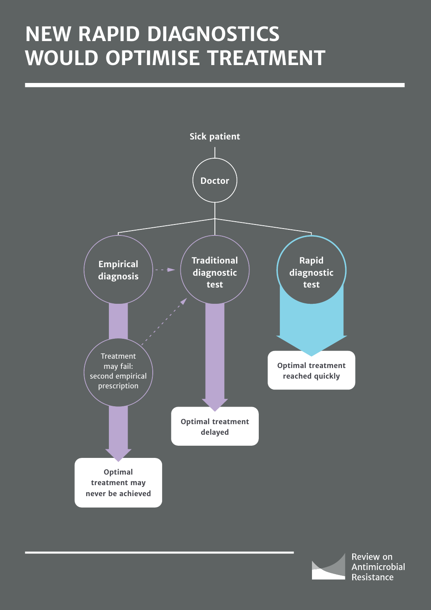# **NEW RAPID DIAGNOSTICS WOULD OPTIMISE TREATMENT**



Review on Antimicrobial Resistance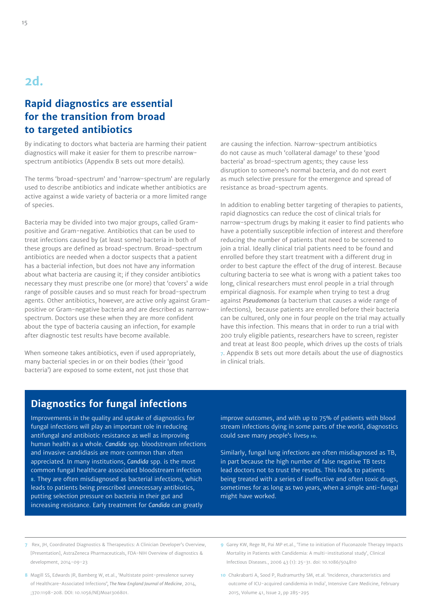## **2d.**

#### **Rapid diagnostics are essential for the transition from broad to targeted antibiotics**

By indicating to doctors what bacteria are harming their patient diagnostics will make it easier for them to prescribe narrowspectrum antibiotics (Appendix B sets out more details).

The terms 'broad-spectrum' and 'narrow-spectrum' are regularly used to describe antibiotics and indicate whether antibiotics are active against a wide variety of bacteria or a more limited range of species.

Bacteria may be divided into two major groups, called Grampositive and Gram-negative. Antibiotics that can be used to treat infections caused by (at least some) bacteria in both of these groups are defined as broad-spectrum. Broad-spectrum antibiotics are needed when a doctor suspects that a patient has a bacterial infection, but does not have any information about what bacteria are causing it; if they consider antibiotics necessary they must prescribe one (or more) that 'covers' a wide range of possible causes and so must reach for broad-spectrum agents. Other antibiotics, however, are active only against Grampositive or Gram-negative bacteria and are described as narrowspectrum. Doctors use these when they are more confident about the type of bacteria causing an infection, for example after diagnostic test results have become available.

When someone takes antibiotics, even if used appropriately, many bacterial species in or on their bodies (their 'good bacteria') are exposed to some extent, not just those that

are causing the infection. Narrow-spectrum antibiotics do not cause as much 'collateral damage' to these 'good bacteria' as broad-spectrum agents; they cause less disruption to someone's normal bacteria, and do not exert as much selective pressure for the emergence and spread of resistance as broad-spectrum agents.

In addition to enabling better targeting of therapies to patients, rapid diagnostics can reduce the cost of clinical trials for narrow-spectrum drugs by making it easier to find patients who have a potentially susceptible infection of interest and therefore reducing the number of patients that need to be screened to join a trial. Ideally clinical trial patients need to be found and enrolled before they start treatment with a different drug in order to best capture the effect of the drug of interest. Because culturing bacteria to see what is wrong with a patient takes too long, clinical researchers must enrol people in a trial through empirical diagnosis. For example when trying to test a drug against *Pseudomonas* (a bacterium that causes a wide range of infections), because patients are enrolled before their bacteria can be cultured, only one in four people on the trial may actually have this infection. This means that in order to run a trial with 200 truly eligible patients, researchers have to screen, register and treat at least 800 people, which drives up the costs of trials **7**. Appendix B sets out more details about the use of diagnostics in clinical trials.

#### **Diagnostics for fungal infections**

Improvements in the quality and uptake of diagnostics for fungal infections will play an important role in reducing antifungal and antibiotic resistance as well as improving human health as a whole. *Candida* spp. bloodstream infections and invasive candidiasis are more common than often appreciated. In many institutions, *Candida* spp. is the most common fungal healthcare associated bloodstream infection **8**. They are often misdiagnosed as bacterial infections, which leads to patients being prescribed unnecessary antibiotics, putting selection pressure on bacteria in their gut and increasing resistance. Early treatment for *Candida* can greatly

improve outcomes, and with up to 75% of patients with blood stream infections dying in some parts of the world, diagnostics could save many people's lives**9 10**.

Similarly, fungal lung infections are often misdiagnosed as TB, in part because the high number of false negative TB tests lead doctors not to trust the results. This leads to patients being treated with a series of ineffective and often toxic drugs, sometimes for as long as two years, when a simple anti-fungal might have worked.

- **7** Rex, JH, Coordinated Diagnostics & Therapeutics: A Clinician Developer's Overview, [Presentation], AstraZeneca Pharmaceuticals, FDA-NIH Overview of diagnostics & development, 2014-09-23
- **8** Magill SS, Edwards JR, Bamberg W, et.al., 'Multistate point-prevalence survey of Healthcare-Associated Infection*s', The New England Journal of Medicine*, 2014, ;370:1198-208. DOI: 10.1056/NEJMoa1306801.
- **9** Garey KW, Rege M, Pai MP et.al., 'Time to initiation of Fluconazole Therapy Impacts Mortality in Patients with Candidemia: A multi-institutional study', Clinical Infectious Diseases., 2006 43 (1): 25-31. doi: 10.1086/504810
- **10** Chakrabarti A, Sood P, Rudramurthy SM, et.al. 'Incidence, characteristics and outcome of ICU-acquired candidemia in India', Intensive Care Medicine, February 2015, Volume 41, Issue 2, pp 285-295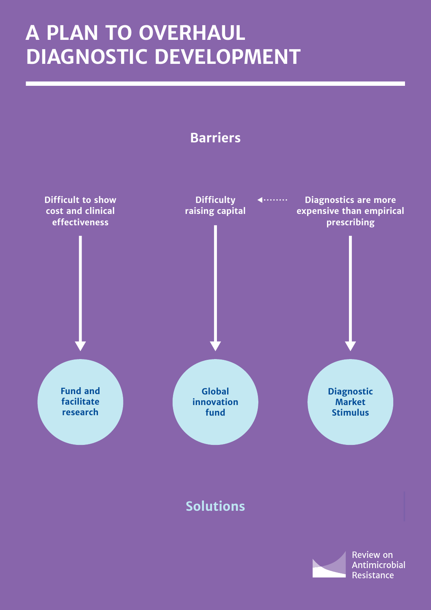# **A PLAN TO OVERHAUL DIAGNOSTIC DEVELOPMENT**

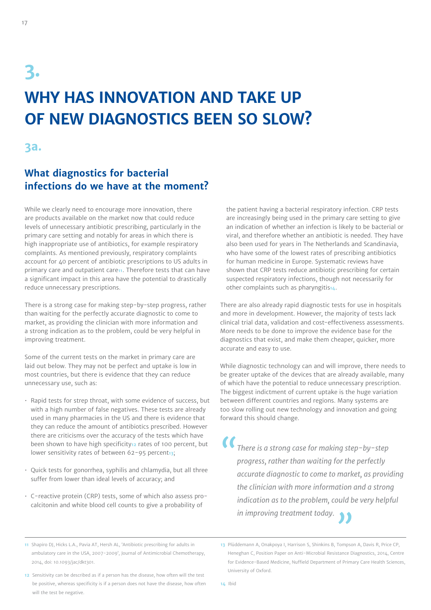# **3. WHY HAS INNOVATION AND TAKE UP OF NEW DIAGNOSTICS BEEN SO SLOW?**

**3a.**

#### **What diagnostics for bacterial infections do we have at the moment?**

While we clearly need to encourage more innovation, there are products available on the market now that could reduce levels of unnecessary antibiotic prescribing, particularly in the primary care setting and notably for areas in which there is high inappropriate use of antibiotics, for example respiratory complaints. As mentioned previously, respiratory complaints account for 40 percent of antibiotic prescriptions to US adults in primary care and outpatient care**11**. Therefore tests that can have a significant impact in this area have the potential to drastically reduce unnecessary prescriptions.

There is a strong case for making step-by-step progress, rather than waiting for the perfectly accurate diagnostic to come to market, as providing the clinician with more information and a strong indication as to the problem, could be very helpful in improving treatment.

Some of the current tests on the market in primary care are laid out below. They may not be perfect and uptake is low in most countries, but there is evidence that they can reduce unnecessary use, such as:

- Rapid tests for strep throat, with some evidence of success, but with a high number of false negatives. These tests are already used in many pharmacies in the US and there is evidence that they can reduce the amount of antibiotics prescribed. However there are criticisms over the accuracy of the tests which have been shown to have high specificity**12** rates of 100 percent, but lower sensitivity rates of between 62-95 percent<sub>13</sub>;
- Quick tests for gonorrhea, syphilis and chlamydia, but all three suffer from lower than ideal levels of accuracy; and
- C-reactive protein (CRP) tests, some of which also assess procalcitonin and white blood cell counts to give a probability of

the patient having a bacterial respiratory infection. CRP tests are increasingly being used in the primary care setting to give an indication of whether an infection is likely to be bacterial or viral, and therefore whether an antibiotic is needed. They have also been used for years in The Netherlands and Scandinavia, who have some of the lowest rates of prescribing antibiotics for human medicine in Europe. Systematic reviews have shown that CRP tests reduce antibiotic prescribing for certain suspected respiratory infections, though not necessarily for other complaints such as pharyngitis**14**.

There are also already rapid diagnostic tests for use in hospitals and more in development. However, the majority of tests lack clinical trial data, validation and cost-effectiveness assessments. More needs to be done to improve the evidence base for the diagnostics that exist, and make them cheaper, quicker, more accurate and easy to use.

While diagnostic technology can and will improve, there needs to be greater uptake of the devices that are already available, many of which have the potential to reduce unnecessary prescription. The biggest indictment of current uptake is the huge variation between different countries and regions. Many systems are too slow rolling out new technology and innovation and going forward this should change.

*"There is a strong case for making step-by-step progress, rather than waiting for the perfectly accurate diagnostic to come to market, as providing the clinician with more information and a strong indication as to the problem, could be very helpful in improving treatment today.* 

**14** Ibid

**<sup>11</sup>** Shapiro DJ, Hicks L.A., Pavia AT, Hersh AL, 'Antibiotic prescribing for adults in ambulatory care in the USA, 2007-2009', Journal of Antimicrobial Chemotherapy, 2014, doi: 10.1093/jac/dkt301.

**<sup>12</sup>** Sensitivity can be described as if a person has the disease, how often will the test be positive, whereas specificity is if a person does not have the disease, how often will the test be negative.

**<sup>13</sup>** Plüddemann A, Onakpoya I, Harrison S, Shinkins B, Tompson A, Davis R, Price CP, Heneghan C, Position Paper on Anti-Microbial Resistance Diagnostics, 2014, Centre for Evidence-Based Medicine, Nuffield Department of Primary Care Health Sciences, University of Oxford.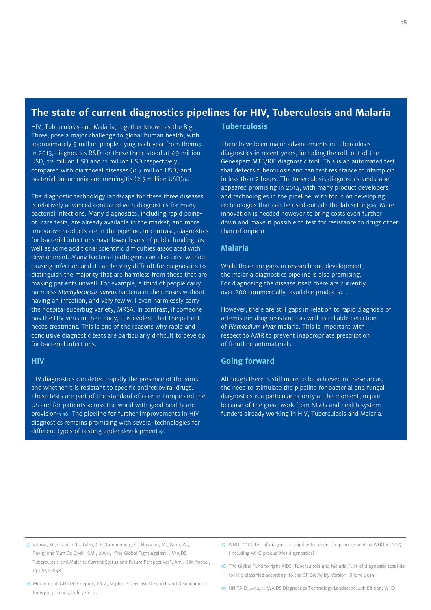#### **The state of current diagnostics pipelines for HIV, Tuberculosis and Malaria**

HIV, Tuberculosis and Malaria, together known as the Big Three, pose a major challenge to global human health, with approximately 5 million people dying each year from them**15**. In 2013, diagnostics R&D for these three stood at 49 million USD, 22 million USD and 11 million USD respectively, compared with diarrhoeal diseases (0.7 million USD) and bacterial pneumonia and meningitis (2.5 million USD)**16**.

The diagnostic technology landscape for these three diseases is relatively advanced compared with diagnostics for many bacterial infections. Many diagnostics, including rapid pointof-care tests, are already available in the market, and more innovative products are in the pipeline. In contrast, diagnostics for bacterial infections have lower levels of public funding, as well as some additional scientific difficulties associated with development. Many bacterial pathogens can also exist without causing infection and it can be very difficult for diagnostics to distinguish the majority that are harmless from those that are making patients unwell. For example, a third of people carry harmless *Staphylococcus aureus* bacteria in their noses without having an infection, and very few will even harmlessly carry the hospital superbug variety, MRSA. In contrast, if someone has the HIV virus in their body, it is evident that the patient needs treatment. This is one of the reasons why rapid and conclusive diagnostic tests are particularly difficult to develop for bacterial infections.

#### **HIV**

HIV diagnostics can detect rapidly the presence of the virus and whether it is resistant to specific antiretroviral drugs. These tests are part of the standard of care in Europe and the US and for patients across the world with good healthcare provision**17 18**. The pipeline for further improvements in HIV diagnostics remains promising with several technologies for different types of testing under development**19**.

#### **Tuberculosis**

There have been major advancements in tuberculosis diagnostics in recent years, including the roll-out of the GeneXpert MTB/RIF diagnostic tool. This is an automated test that detects tuberculosis and can test resistance to rifampicin in less than 2 hours. The tuberculosis diagnostics landscape appeared promising in 2014, with many product developers and technologies in the pipeline, with focus on developing technologies that can be used outside the lab setting**20**. More innovation is needed however to bring costs even further down and make it possible to test for resistance to drugs other than rifampicin.

#### **Malaria**

While there are gaps in research and development, the malaria diagnostics pipeline is also promising. For diagnosing the disease itself there are currently over 200 commercially-available products**21**.

However, there are still gaps in relation to rapid diagnosis of artemisinin drug resistance as well as reliable detection of *Plamosdium vivax* malaria. This is important with respect to AMR to prevent inappropriate prescription of frontline antimalarials.

#### **Going forward**

Although there is still more to be achieved in these areas, the need to stimulate the pipeline for bacterial and fungal diagnostics is a particular priority at the moment, in part because of the great work from NGOs and health system funders already working in HIV, Tuberculosis and Malaria.

- **15** Vitoria, M., Granich, R., Gilks, C.F., Gunnenberg, C., Hosseini, M., Were, W., Raviglione,M.m De Cock, K.M., 2009, "The Global Fight against HIV/AIDS, Tuberculosis and Malaria: Current Status and Future Perspectives", Am J Clin Pathol, 131: 844-848.
- **17** WHO, 2015, List of diagnostics eligible to tender for procurement by WHO in 2015 (including WHO prequalifies diagnostics)
- **18** The Global Fund to fight AIDS, Tuberculosis and Malaria, 'List of diagnostic test kits for HIV classified according to the GF QA Policy Version-8,June 2015'
- **16** Moran et.al. GFINDER Report, 2014, Neglected Disease Research and Development: Emerging Trends, Policy Cures
- **19** UNITAID, 2014, HIV/AIDS Diagnostics Technology Landscape, 4th Edition, WHO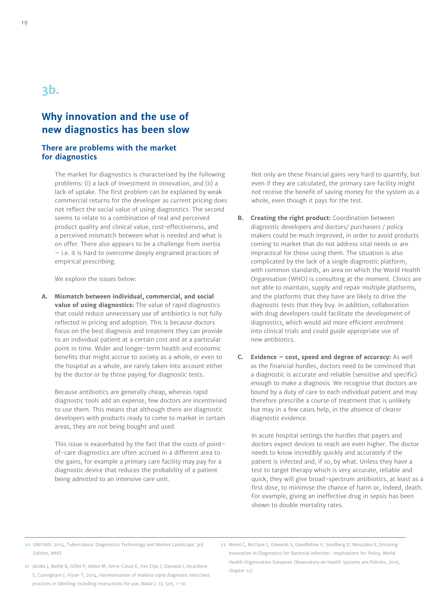## **3b.**

#### **Why innovation and the use of new diagnostics has been slow**

#### **There are problems with the market for diagnostics**

The market for diagnostics is characterised by the following problems: (i) a lack of investment in innovation, and (ii) a lack of uptake. The first problem can be explained by weak commercial returns for the developer as current pricing does not reflect the social value of using diagnostics. The second seems to relate to a combination of real and perceived product quality and clinical value, cost-effectiveness, and a perceived mismatch between what is needed and what is on offer. There also appears to be a challenge from inertia – i.e. it is hard to overcome deeply engrained practices of empirical prescribing.

We explore the issues below:

**A. Mismatch between individual, commercial, and social value of using diagnostics:** The value of rapid diagnostics that could reduce unnecessary use of antibiotics is not fully reflected in pricing and adoption. This is because doctors focus on the best diagnosis and treatment they can provide to an individual patient at a certain cost and at a particular point in time. Wider and longer-term health and economic benefits that might accrue to society as a whole, or even to the hospital as a whole, are rarely taken into account either by the doctor or by those paying for diagnostic tests.

Because antibiotics are generally cheap, whereas rapid diagnostic tools add an expense, few doctors are incentivised to use them. This means that although there are diagnostic developers with products ready to come to market in certain areas, they are not being bought and used.

This issue is exacerbated by the fact that the costs of pointof-care diagnostics are often accrued in a different area to the gains, for example a primary care facility may pay for a diagnostic device that reduces the probability of a patient being admitted to an intensive care unit.

Not only are these financial gains very hard to quantify, but even if they are calculated, the primary care facility might not receive the benefit of saving money for the system as a whole, even though it pays for the test.

- **B. Creating the right product:** Coordination between diagnostic developers and doctors/ purchasers / policy makers could be much improved, in order to avoid products coming to market that do not address vital needs or are impractical for those using them. The situation is also complicated by the lack of a single diagnostic platform, with common standards, an area on which the World Health Organisation (WHO) is consulting at the moment. Clinics are not able to maintain, supply and repair multiple platforms, and the platforms that they have are likely to drive the diagnostic tests that they buy. In addition, collaboration with drug developers could facilitate the development of diagnostics, which would aid more efficient enrolment into clinical trials and could guide appropriate use of new antibiotics.
- **C. Evidence cost, speed and degree of accuracy:** As well as the financial hurdles, doctors need to be convinced that a diagnostic is accurate and reliable (sensitive and specific) enough to make a diagnosis. We recognise that doctors are bound by a duty of care to each individual patient and may therefore prescribe a course of treatment that is unlikely but may in a few cases help, in the absence of clearer diagnostic evidence.

In acute hospital settings the hurdles that payers and doctors expect devices to reach are even higher. The doctor needs to know incredibly quickly and accurately if the patient is infected and, if so, by what. Unless they have a test to target therapy which is very accurate, reliable and quick, they will give broad-spectrum antibiotics, at least as a first dose, to minimise the chance of harm or, indeed, death. For example, giving an ineffective drug in sepsis has been shown to double mortality rates.

**<sup>20</sup>** UNITAID, 2014, Tuberculosis: Diagnostics Technology and Market Landscape, 3rd Edition, WHO

**<sup>21</sup>** Jacobs J, Barbé B, Gillet P, Aidoo M, Serra-Casas E, Van Erps J, Daviaud J, Incardona S, Cunnigham J, Visser T, 2014, Harmonisation of malaria rapid diagnostic tests:best practices in labelling including instructions for use, Malar.J. 13: 505. 1-10

**<sup>22</sup>** Morel C, McClure L, Edwards S, Goodfellow V, Sandberg D, Mossialos E, Ensuring Innovation in Diagnostics for Bacterial Infection : Implications for Policy, World Health Organization European Observatory on Health Systems ans Policies, 2015, chapter 12)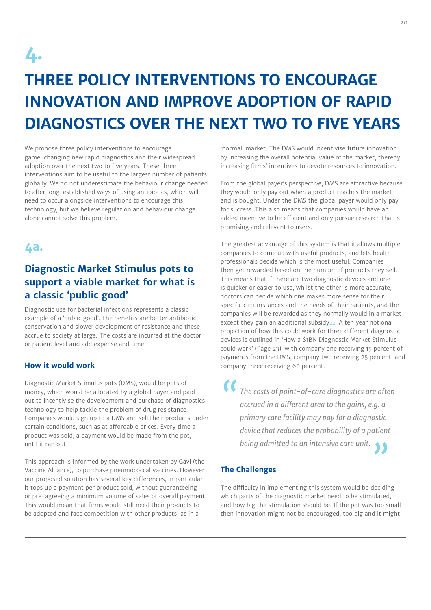

# **THREE POLICY INTERVENTIONS TO ENCOURAGE INNOVATION AND IMPROVE ADOPTION OF RAPID DIAGNOSTICS OVER THE NEXT TWO TO FIVE YEARS**

We propose three policy interventions to encourage game-changing new rapid diagnostics and their widespread adoption over the next two to five years. These three interventions aim to be useful to the largest number of patients globally. We do not underestimate the behaviour change needed to alter long-established ways of using antibiotics, which will need to occur alongside interventions to encourage this technology, but we believe regulation and behaviour change alone cannot solve this problem.

#### **4a.**

#### **Diagnostic Market Stimulus pots to support a viable market for what is a classic 'public good'**

Diagnostic use for bacterial infections represents a classic example of a 'public good'. The benefits are better antibiotic conservation and slower development of resistance and these accrue to society at large. The costs are incurred at the doctor or patient level and add expense and time.

#### **How it would work**

Diagnostic Market Stimulus pots (DMS), would be pots of money, which would be allocated by a global payer and paid out to incentivise the development and purchase of diagnostics technology to help tackle the problem of drug resistance. Companies would sign up to a DMS and sell their products under certain conditions, such as at affordable prices. Every time a product was sold, a payment would be made from the pot, until it ran out.

This approach is informed by the work undertaken by Gavi (the Vaccine Alliance), to purchase pneumococcal vaccines. However our proposed solution has several key differences, in particular it tops up a payment per product sold, without guaranteeing or pre-agreeing a minimum volume of sales or overall payment. This would mean that firms would still need their products to be adopted and face competition with other products, as in a

'normal' market. The DMS would incentivise future innovation by increasing the overall potential value of the market, thereby increasing firms' incentives to devote resources to innovation.

From the global payer's perspective, DMS are attractive because they would only pay out when a product reaches the market and is bought. Under the DMS the global payer would only pay for success. This also means that companies would have an added incentive to be efficient and only pursue research that is promising and relevant to users.

The greatest advantage of this system is that it allows multiple companies to come up with useful products, and lets health professionals decide which is the most useful. Companies then get rewarded based on the number of products they sell. This means that if there are two diagnostic devices and one is quicker or easier to use, whilst the other is more accurate, doctors can decide which one makes more sense for their specific circumstances and the needs of their patients, and the companies will be rewarded as they normally would in a market except they gain an additional subsidy**22**. A ten year notional projection of how this could work for three different diagnostic devices is outlined in 'How a \$1BN Diagnostic Market Stimulus could work' (Page 23), with company one receiving 15 percent of payments from the DMS, company two receiving 25 percent, and company three receiving 60 percent.

*"The costs of point-of-care diagnostics are often accrued in a different area to the gains, e.g. a primary care facility may pay for a diagnostic device that reduces the probability of a patient being admitted to an intensive care unit."*

#### **The Challenges**

The difficulty in implementing this system would be deciding which parts of the diagnostic market need to be stimulated, and how big the stimulation should be. If the pot was too small then innovation might not be encouraged, too big and it might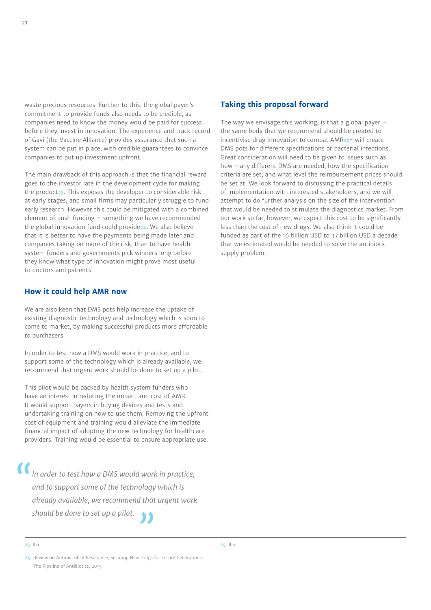waste precious resources. Further to this, the global payer's commitment to provide funds also needs to be credible, as companies need to know the money would be paid for success before they invest in innovation. The experience and track record of Gavi (the Vaccine Alliance) provides assurance that such a system can be put in place, with credible guarantees to convince companies to put up investment upfront.

The main drawback of this approach is that the financial reward goes to the investor late in the development cycle for making the product**23**. This exposes the developer to considerable risk at early stages, and small firms may particularly struggle to fund early research. However this could be mitigated with a combined element of push funding – something we have recommended the global innovation fund could provide**24**. We also believe that it is better to have the payments being made later and companies taking on more of the risk, than to have health system funders and governments pick winners long before they know what type of innovation might prove most useful to doctors and patients.

#### **How it could help AMR now**

We are also keen that DMS pots help increase the uptake of existing diagnostic technology and technology which is soon to come to market, by making successful products more affordable to purchasers.

In order to test how a DMS would work in practice, and to support some of the technology which is already available, we recommend that urgent work should be done to set up a pilot.

This pilot would be backed by health system funders who have an interest in reducing the impact and cost of AMR. It would support payers in buying devices and tests and undertaking training on how to use them. Removing the upfront cost of equipment and training would alleviate the immediate financial impact of adopting the new technology for healthcare providers. Training would be essential to ensure appropriate use.

*"In order to test how a DMS would work in practice, and to support some of the technology which is already available, we recommend that urgent work should be done to set up a pilot. "*

#### **Taking this proposal forward**

The way we envisage this working, is that a global payer  $$ the same body that we recommend should be created to incentivise drug innovation to combat AMR**25**- will create DMS pots for different specifications or bacterial infections. Great consideration will need to be given to issues such as how many different DMS are needed, how the specification criteria are set, and what level the reimbursement prices should be set at. We look forward to discussing the practical details of implementation with interested stakeholders, and we will attempt to do further analysis on the size of the intervention that would be needed to stimulate the diagnostics market. From our work so far, however, we expect this cost to be significantly less than the cost of new drugs. We also think it could be funded as part of the 16 billion USD to 37 billion USD a decade that we estimated would be needed to solve the antibiotic supply problem.

**25** Ibid

**23** Ibid

**<sup>24</sup>** Review on Antimicrobial Resistance, Securing New Drugs for Future Generations: The Pipeline of Antibiotics, 2015.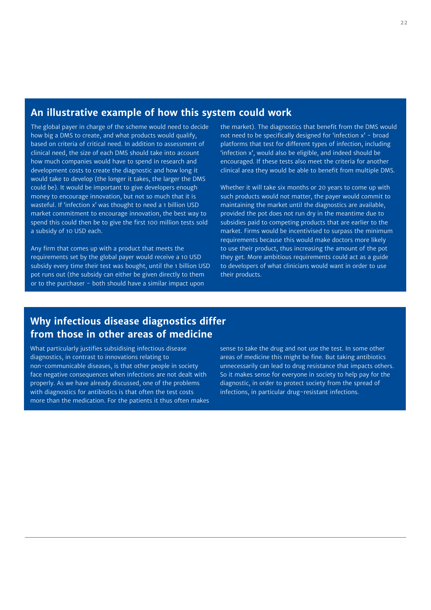#### **An illustrative example of how this system could work**

The global payer in charge of the scheme would need to decide how big a DMS to create, and what products would qualify, based on criteria of critical need. In addition to assessment of clinical need, the size of each DMS should take into account how much companies would have to spend in research and development costs to create the diagnostic and how long it would take to develop (the longer it takes, the larger the DMS could be). It would be important to give developers enough money to encourage innovation, but not so much that it is wasteful. If 'infection x' was thought to need a 1 billion USD market commitment to encourage innovation, the best way to spend this could then be to give the first 100 million tests sold a subsidy of 10 USD each.

Any firm that comes up with a product that meets the requirements set by the global payer would receive a 10 USD subsidy every time their test was bought, until the 1 billion USD pot runs out (the subsidy can either be given directly to them or to the purchaser - both should have a similar impact upon

the market). The diagnostics that benefit from the DMS would not need to be specifically designed for 'infection x' - broad platforms that test for different types of infection, including 'infection x', would also be eligible, and indeed should be encouraged. If these tests also meet the criteria for another clinical area they would be able to benefit from multiple DMS.

Whether it will take six months or 20 years to come up with such products would not matter, the payer would commit to maintaining the market until the diagnostics are available, provided the pot does not run dry in the meantime due to subsidies paid to competing products that are earlier to the market. Firms would be incentivised to surpass the minimum requirements because this would make doctors more likely to use their product, thus increasing the amount of the pot they get. More ambitious requirements could act as a guide to developers of what clinicians would want in order to use their products.

#### **Why infectious disease diagnostics differ from those in other areas of medicine**

What particularly justifies subsidising infectious disease diagnostics, in contrast to innovations relating to non-communicable diseases, is that other people in society face negative consequences when infections are not dealt with properly. As we have already discussed, one of the problems with diagnostics for antibiotics is that often the test costs more than the medication. For the patients it thus often makes sense to take the drug and not use the test. In some other areas of medicine this might be fine. But taking antibiotics unnecessarily can lead to drug resistance that impacts others. So it makes sense for everyone in society to help pay for the diagnostic, in order to protect society from the spread of infections, in particular drug-resistant infections.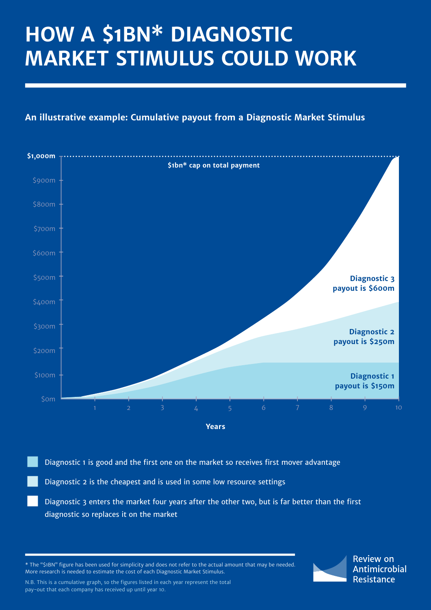# **HOW A \$1BN\* DIAGNOSTIC MARKET STIMULUS COULD WORK**

#### **An illustrative example: Cumulative payout from a Diagnostic Market Stimulus**



Diagnostic 1 is good and the first one on the market so receives first mover advantage

Diagnostic 2 is the cheapest and is used in some low resource settings

Diagnostic 3 enters the market four years after the other two, but is far better than the first diagnostic so replaces it on the market

\* The "\$1BN" figure has been used for simplicity and does not refer to the actual amount that may be needed. More research is needed to estimate the cost of each Diagnostic Market Stimulus.

N.B. This is a cumulative graph, so the figures listed in each year represent the total pay-out that each company has received up until year 10.

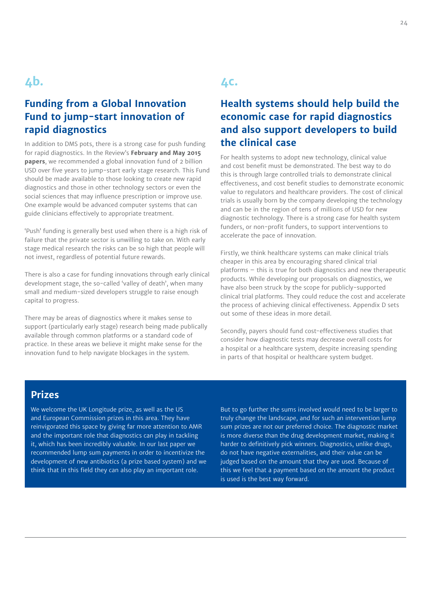## **4b.**

#### **Funding from a Global Innovation Fund to jump-start innovation of rapid diagnostics**

In addition to DMS pots, there is a strong case for push funding for rapid diagnostics. In the Review's **February and May 2015 papers**, we recommended a global innovation fund of 2 billion USD over five years to jump-start early stage research. This Fund should be made available to those looking to create new rapid diagnostics and those in other technology sectors or even the social sciences that may influence prescription or improve use. One example would be advanced computer systems that can guide clinicians effectively to appropriate treatment.

'Push' funding is generally best used when there is a high risk of failure that the private sector is unwilling to take on. With early stage medical research the risks can be so high that people will not invest, regardless of potential future rewards.

There is also a case for funding innovations through early clinical development stage, the so-called 'valley of death', when many small and medium-sized developers struggle to raise enough capital to progress.

There may be areas of diagnostics where it makes sense to support (particularly early stage) research being made publically available through common platforms or a standard code of practice. In these areas we believe it might make sense for the innovation fund to help navigate blockages in the system.

## **4c.**

#### **Health systems should help build the economic case for rapid diagnostics and also support developers to build the clinical case**

For health systems to adopt new technology, clinical value and cost benefit must be demonstrated. The best way to do this is through large controlled trials to demonstrate clinical effectiveness, and cost benefit studies to demonstrate economic value to regulators and healthcare providers. The cost of clinical trials is usually born by the company developing the technology and can be in the region of tens of millions of USD for new diagnostic technology. There is a strong case for health system funders, or non-profit funders, to support interventions to accelerate the pace of innovation.

Firstly, we think healthcare systems can make clinical trials cheaper in this area by encouraging shared clinical trial platforms – this is true for both diagnostics and new therapeutic products. While developing our proposals on diagnostics, we have also been struck by the scope for publicly-supported clinical trial platforms. They could reduce the cost and accelerate the process of achieving clinical effectiveness. Appendix D sets out some of these ideas in more detail.

Secondly, payers should fund cost-effectiveness studies that consider how diagnostic tests may decrease overall costs for a hospital or a healthcare system, despite increasing spending in parts of that hospital or healthcare system budget.

#### **Prizes**

We welcome the UK Longitude prize, as well as the US and European Commission prizes in this area. They have reinvigorated this space by giving far more attention to AMR and the important role that diagnostics can play in tackling it, which has been incredibly valuable. In our last paper we recommended lump sum payments in order to incentivize the development of new antibiotics (a prize based system) and we think that in this field they can also play an important role.

But to go further the sums involved would need to be larger to truly change the landscape, and for such an intervention lump sum prizes are not our preferred choice. The diagnostic market is more diverse than the drug development market, making it harder to definitively pick winners. Diagnostics, unlike drugs, do not have negative externalities, and their value can be judged based on the amount that they are used. Because of this we feel that a payment based on the amount the product is used is the best way forward.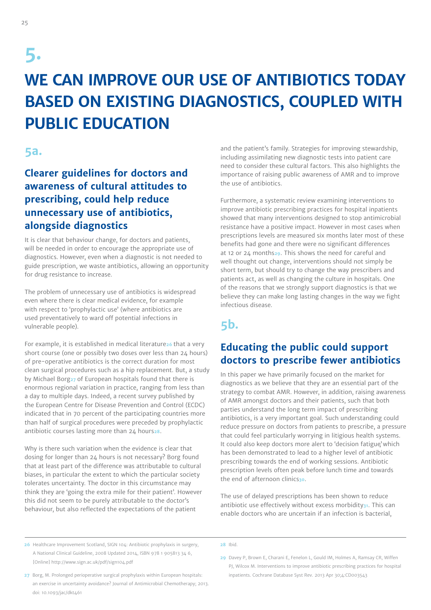# **5.**

# **WE CAN IMPROVE OUR USE OF ANTIBIOTICS TODAY BASED ON EXISTING DIAGNOSTICS, COUPLED WITH PUBLIC EDUCATION**

#### **5a.**

### **Clearer guidelines for doctors and awareness of cultural attitudes to prescribing, could help reduce unnecessary use of antibiotics, alongside diagnostics**

It is clear that behaviour change, for doctors and patients, will be needed in order to encourage the appropriate use of diagnostics. However, even when a diagnostic is not needed to guide prescription, we waste antibiotics, allowing an opportunity for drug resistance to increase.

The problem of unnecessary use of antibiotics is widespread even where there is clear medical evidence, for example with respect to 'prophylactic use' (where antibiotics are used preventatively to ward off potential infections in vulnerable people).

For example, it is established in medical literature**26** that a very short course (one or possibly two doses over less than 24 hours) of pre-operative antibiotics is the correct duration for most clean surgical procedures such as a hip replacement. But, a study by Michael Borg**27** of European hospitals found that there is enormous regional variation in practice, ranging from less than a day to multiple days. Indeed, a recent survey published by the European Centre for Disease Prevention and Control (ECDC) indicated that in 70 percent of the participating countries more than half of surgical procedures were preceded by prophylactic antibiotic courses lasting more than 24 hours**28**.

Why is there such variation when the evidence is clear that dosing for longer than 24 hours is not necessary? Borg found that at least part of the difference was attributable to cultural biases, in particular the extent to which the particular society tolerates uncertainty. The doctor in this circumstance may think they are 'going the extra mile for their patient'. However this did not seem to be purely attributable to the doctor's behaviour, but also reflected the expectations of the patient

and the patient's family. Strategies for improving stewardship, including assimilating new diagnostic tests into patient care need to consider these cultural factors. This also highlights the importance of raising public awareness of AMR and to improve the use of antibiotics.

Furthermore, a systematic review examining interventions to improve antibiotic prescribing practices for hospital inpatients showed that many interventions designed to stop antimicrobial resistance have a positive impact. However in most cases when prescriptions levels are measured six months later most of these benefits had gone and there were no significant differences at 12 or 24 months**29**. This shows the need for careful and well thought out change, interventions should not simply be short term, but should try to change the way prescribers and patients act, as well as changing the culture in hospitals. One of the reasons that we strongly support diagnostics is that we believe they can make long lasting changes in the way we fight infectious disease.

### **5b.**

#### **Educating the public could support doctors to prescribe fewer antibiotics**

In this paper we have primarily focused on the market for diagnostics as we believe that they are an essential part of the strategy to combat AMR. However, in addition, raising awareness of AMR amongst doctors and their patients, such that both parties understand the long term impact of prescribing antibiotics, is a very important goal. Such understanding could reduce pressure on doctors from patients to prescribe, a pressure that could feel particularly worrying in litigious health systems. It could also keep doctors more alert to 'decision fatigue' which has been demonstrated to lead to a higher level of antibiotic prescribing towards the end of working sessions. Antibiotic prescription levels often peak before lunch time and towards the end of afternoon clinics**30**.

The use of delayed prescriptions has been shown to reduce antibiotic use effectively without excess morbidity**31**. This can enable doctors who are uncertain if an infection is bacterial,

- **26** Healthcare Improvement Scotland, SIGN 104: Antibiotic prophylaxis in surgery, A National Clinical Guideline, 2008 Updated 2014, ISBN 978 1 905813 34 6, [Online] http://www.sign.ac.uk/pdf/sign104.pdf
- **28** Ibid.
- **27** Borg, M. Prolonged perioperative surgical prophylaxis within European hospitals: an exercise in uncertainty avoidance? Journal of Antimicrobial Chemotherapy; 2013. doi: 10.1093/jac/dkt461
- **29** Davey P, Brown E, Charani E, Fenelon L, Gould IM, Holmes A, Ramsay CR, Wiffen PJ, Wilcox M. Interventions to improve antibiotic prescribing practices for hospital inpatients. Cochrane Database Syst Rev. 2013 Apr 30;4:CD003543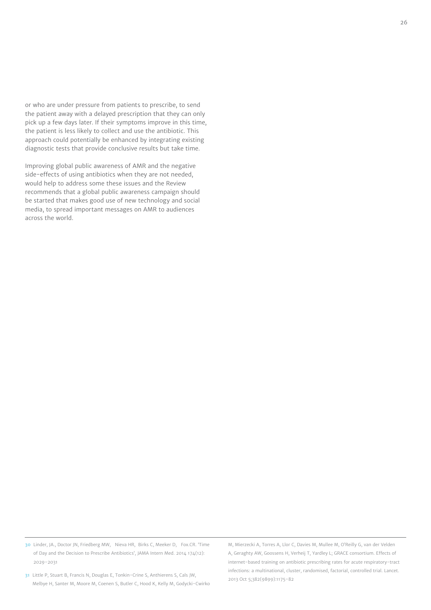or who are under pressure from patients to prescribe, to send the patient away with a delayed prescription that they can only pick up a few days later. If their symptoms improve in this time, the patient is less likely to collect and use the antibiotic. This approach could potentially be enhanced by integrating existing diagnostic tests that provide conclusive results but take time.

Improving global public awareness of AMR and the negative side-effects of using antibiotics when they are not needed, would help to address some these issues and the Review recommends that a global public awareness campaign should be started that makes good use of new technology and social media, to spread important messages on AMR to audiences across the world.

**30** Linder, JA., Doctor JN, Friedberg MW, Nieva HR, Birks C, Meeker D, Fox.CR. 'Time of Day and the Decision to Prescribe Antibiotics', JAMA Intern Med. 2014 174(12): 2029-2031

**31** Little P, Stuart B, Francis N, Douglas E, Tonkin-Crine S, Anthierens S, Cals JW, Melbye H, Santer M, Moore M, Coenen S, Butler C, Hood K, Kelly M, Godycki-Cwirko

M, Mierzecki A, Torres A, Llor C, Davies M, Mullee M, O'Reilly G, van der Velden A, Geraghty AW, Goossens H, Verheij T, Yardley L; GRACE consortium. Effects of internet-based training on antibiotic prescribing rates for acute respiratory-tract infections: a multinational, cluster, randomised, factorial, controlled trial. Lancet. 2013 Oct 5;382(9899):1175-82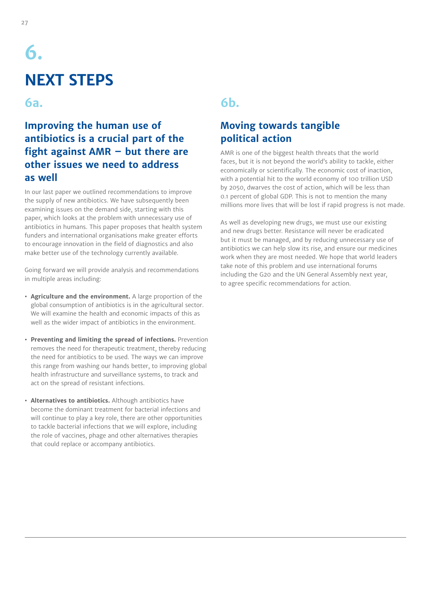# **6. NEXT STEPS**

#### **6a.**

### **Improving the human use of antibiotics is a crucial part of the fight against AMR – but there are other issues we need to address as well**

In our last paper we outlined recommendations to improve the supply of new antibiotics. We have subsequently been examining issues on the demand side, starting with this paper, which looks at the problem with unnecessary use of antibiotics in humans. This paper proposes that health system funders and international organisations make greater efforts to encourage innovation in the field of diagnostics and also make better use of the technology currently available.

Going forward we will provide analysis and recommendations in multiple areas including:

- **• Agriculture and the environment.** A large proportion of the global consumption of antibiotics is in the agricultural sector. We will examine the health and economic impacts of this as well as the wider impact of antibiotics in the environment.
- **• Preventing and limiting the spread of infections.** Prevention removes the need for therapeutic treatment, thereby reducing the need for antibiotics to be used. The ways we can improve this range from washing our hands better, to improving global health infrastructure and surveillance systems, to track and act on the spread of resistant infections.
- **• Alternatives to antibiotics.** Although antibiotics have become the dominant treatment for bacterial infections and will continue to play a key role, there are other opportunities to tackle bacterial infections that we will explore, including the role of vaccines, phage and other alternatives therapies that could replace or accompany antibiotics.

#### **6b.**

### **Moving towards tangible political action**

AMR is one of the biggest health threats that the world faces, but it is not beyond the world's ability to tackle, either economically or scientifically. The economic cost of inaction, with a potential hit to the world economy of 100 trillion USD by 2050, dwarves the cost of action, which will be less than 0.1 percent of global GDP. This is not to mention the many millions more lives that will be lost if rapid progress is not made.

As well as developing new drugs, we must use our existing and new drugs better. Resistance will never be eradicated but it must be managed, and by reducing unnecessary use of antibiotics we can help slow its rise, and ensure our medicines work when they are most needed. We hope that world leaders take note of this problem and use international forums including the G20 and the UN General Assembly next year, to agree specific recommendations for action.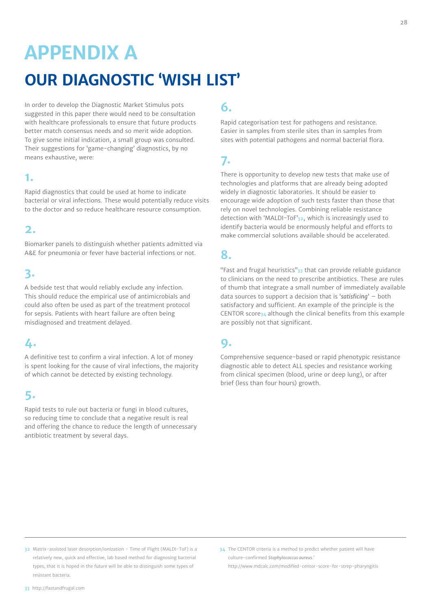# **APPENDIX A OUR DIAGNOSTIC 'WISH LIST'**

In order to develop the Diagnostic Market Stimulus pots suggested in this paper there would need to be consultation with healthcare professionals to ensure that future products better match consensus needs and so merit wide adoption. To give some initial indication, a small group was consulted. Their suggestions for 'game-changing' diagnostics, by no means exhaustive, were:

#### **1.**

Rapid diagnostics that could be used at home to indicate bacterial or viral infections. These would potentially reduce visits to the doctor and so reduce healthcare resource consumption.

#### **2.**

Biomarker panels to distinguish whether patients admitted via A&E for pneumonia or fever have bacterial infections or not.

## **3.**

A bedside test that would reliably exclude any infection. This should reduce the empirical use of antimicrobials and could also often be used as part of the treatment protocol for sepsis. Patients with heart failure are often being misdiagnosed and treatment delayed.

### **4.**

A definitive test to confirm a viral infection. A lot of money is spent looking for the cause of viral infections, the majority of which cannot be detected by existing technology.

## **5.**

Rapid tests to rule out bacteria or fungi in blood cultures, so reducing time to conclude that a negative result is real and offering the chance to reduce the length of unnecessary antibiotic treatment by several days.

## **6.**

Rapid categorisation test for pathogens and resistance. Easier in samples from sterile sites than in samples from sites with potential pathogens and normal bacterial flora.

## **7.**

There is opportunity to develop new tests that make use of technologies and platforms that are already being adopted widely in diagnostic laboratories. It should be easier to encourage wide adoption of such tests faster than those that rely on novel technologies. Combining reliable resistance detection with 'MALDI-ToF'**32**, which is increasingly used to identify bacteria would be enormously helpful and efforts to make commercial solutions available should be accelerated.

## **8.**

"Fast and frugal heuristics"**33** that can provide reliable guidance to clinicians on the need to prescribe antibiotics. These are rules of thumb that integrate a small number of immediately available data sources to support a decision that is '*satisficing*' – both satisfactory and sufficient. An example of the principle is the CENTOR score**34** although the clinical benefits from this example are possibly not that significant.

#### **9.**

Comprehensive sequence-based or rapid phenotypic resistance diagnostic able to detect ALL species and resistance working from clinical specimen (blood, urine or deep lung), or after brief (less than four hours) growth.

- **32** Matrix-assisted laser desorption/ionization Time of Flight (MALDI-ToF) is a relatively new, quick and effective, lab based method for diagnosing bacterial types, that it is hoped in the future will be able to distinguish some types of resistant bacteria.
- **34** The CENTOR criteria is a method to predict whether patient will have culture-confirmed *Staphylococcus aureus*.' http://www.mdcalc.com/modified-centor-score-for-strep-pharyngitis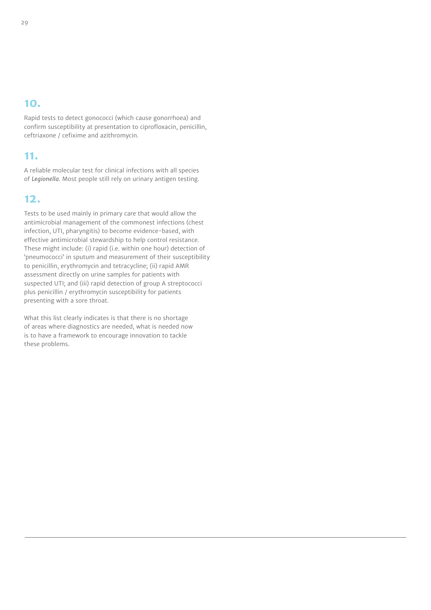### **10.**

Rapid tests to detect gonococci (which cause gonorrhoea) and confirm susceptibility at presentation to ciprofloxacin, penicillin, ceftriaxone / cefixime and azithromycin.

#### **11.**

A reliable molecular test for clinical infections with all species of *Legionella*. Most people still rely on urinary antigen testing.

#### **12.**

Tests to be used mainly in primary care that would allow the antimicrobial management of the commonest infections (chest infection, UTI, pharyngitis) to become evidence-based, with effective antimicrobial stewardship to help control resistance. These might include: (i) rapid (i.e. within one hour) detection of 'pneumococci' in sputum and measurement of their susceptibility to penicillin, erythromycin and tetracycline; (ii) rapid AMR assessment directly on urine samples for patients with suspected UTI; and (iii) rapid detection of group A streptococci plus penicillin / erythromycin susceptibility for patients presenting with a sore throat.

What this list clearly indicates is that there is no shortage of areas where diagnostics are needed, what is needed now is to have a framework to encourage innovation to tackle these problems.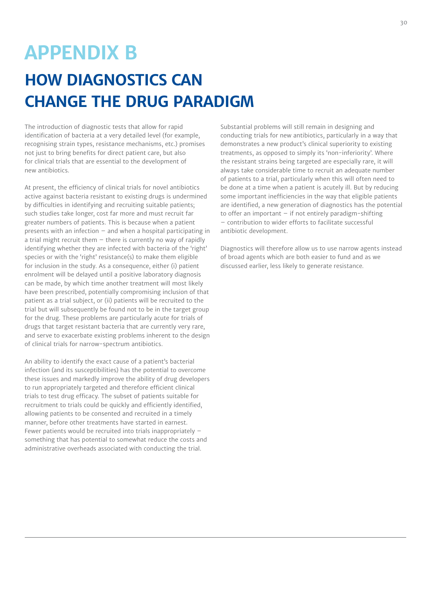# **APPENDIX B**

## **HOW DIAGNOSTICS CAN CHANGE THE DRUG PARADIGM**

The introduction of diagnostic tests that allow for rapid identification of bacteria at a very detailed level (for example, recognising strain types, resistance mechanisms, etc.) promises not just to bring benefits for direct patient care, but also for clinical trials that are essential to the development of new antibiotics.

At present, the efficiency of clinical trials for novel antibiotics active against bacteria resistant to existing drugs is undermined by difficulties in identifying and recruiting suitable patients; such studies take longer, cost far more and must recruit far greater numbers of patients. This is because when a patient presents with an infection – and when a hospital participating in a trial might recruit them  $-$  there is currently no way of rapidly identifying whether they are infected with bacteria of the 'right' species or with the 'right' resistance(s) to make them eligible for inclusion in the study. As a consequence, either (i) patient enrolment will be delayed until a positive laboratory diagnosis can be made, by which time another treatment will most likely have been prescribed, potentially compromising inclusion of that patient as a trial subject, or (ii) patients will be recruited to the trial but will subsequently be found not to be in the target group for the drug. These problems are particularly acute for trials of drugs that target resistant bacteria that are currently very rare, and serve to exacerbate existing problems inherent to the design of clinical trials for narrow-spectrum antibiotics.

An ability to identify the exact cause of a patient's bacterial infection (and its susceptibilities) has the potential to overcome these issues and markedly improve the ability of drug developers to run appropriately targeted and therefore efficient clinical trials to test drug efficacy. The subset of patients suitable for recruitment to trials could be quickly and efficiently identified, allowing patients to be consented and recruited in a timely manner, before other treatments have started in earnest. Fewer patients would be recruited into trials inappropriately – something that has potential to somewhat reduce the costs and administrative overheads associated with conducting the trial.

Substantial problems will still remain in designing and conducting trials for new antibiotics, particularly in a way that demonstrates a new product's clinical superiority to existing treatments, as opposed to simply its 'non-inferiority'. Where the resistant strains being targeted are especially rare, it will always take considerable time to recruit an adequate number of patients to a trial, particularly when this will often need to be done at a time when a patient is acutely ill. But by reducing some important inefficiencies in the way that eligible patients are identified, a new generation of diagnostics has the potential to offer an important  $-$  if not entirely paradigm-shifting – contribution to wider efforts to facilitate successful antibiotic development.

Diagnostics will therefore allow us to use narrow agents instead of broad agents which are both easier to fund and as we discussed earlier, less likely to generate resistance.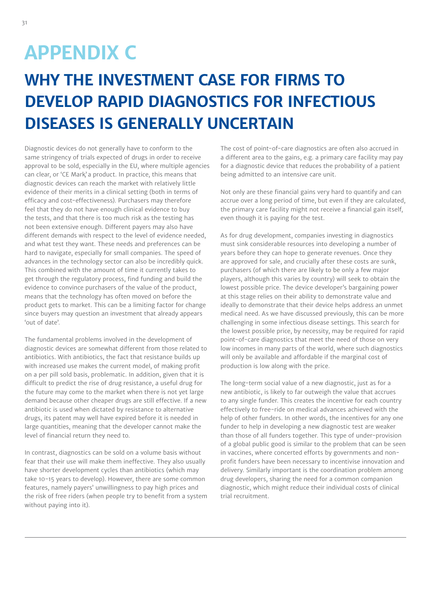# **APPENDIX C**

# **WHY THE INVESTMENT CASE FOR FIRMS TO DEVELOP RAPID DIAGNOSTICS FOR INFECTIOUS DISEASES IS GENERALLY UNCERTAIN**

Diagnostic devices do not generally have to conform to the same stringency of trials expected of drugs in order to receive approval to be sold, especially in the EU, where multiple agencies can clear, or 'CE Mark' a product. In practice, this means that diagnostic devices can reach the market with relatively little evidence of their merits in a clinical setting (both in terms of efficacy and cost-effectiveness). Purchasers may therefore feel that they do not have enough clinical evidence to buy the tests, and that there is too much risk as the testing has not been extensive enough. Different payers may also have different demands with respect to the level of evidence needed, and what test they want. These needs and preferences can be hard to navigate, especially for small companies. The speed of advances in the technology sector can also be incredibly quick. This combined with the amount of time it currently takes to get through the regulatory process, find funding and build the evidence to convince purchasers of the value of the product, means that the technology has often moved on before the product gets to market. This can be a limiting factor for change since buyers may question an investment that already appears 'out of date'.

The fundamental problems involved in the development of diagnostic devices are somewhat different from those related to antibiotics. With antibiotics, the fact that resistance builds up with increased use makes the current model, of making profit on a per pill sold basis, problematic. In addition, given that it is difficult to predict the rise of drug resistance, a useful drug for the future may come to the market when there is not yet large demand because other cheaper drugs are still effective. If a new antibiotic is used when dictated by resistance to alternative drugs, its patent may well have expired before it is needed in large quantities, meaning that the developer cannot make the level of financial return they need to.

In contrast, diagnostics can be sold on a volume basis without fear that their use will make them ineffective. They also usually have shorter development cycles than antibiotics (which may take 10-15 years to develop). However, there are some common features, namely payers' unwillingness to pay high prices and the risk of free riders (when people try to benefit from a system without paying into it).

The cost of point-of-care diagnostics are often also accrued in a different area to the gains, e.g. a primary care facility may pay for a diagnostic device that reduces the probability of a patient being admitted to an intensive care unit.

Not only are these financial gains very hard to quantify and can accrue over a long period of time, but even if they are calculated, the primary care facility might not receive a financial gain itself, even though it is paying for the test.

As for drug development, companies investing in diagnostics must sink considerable resources into developing a number of years before they can hope to generate revenues. Once they are approved for sale, and crucially after these costs are sunk, purchasers (of which there are likely to be only a few major players, although this varies by country) will seek to obtain the lowest possible price. The device developer's bargaining power at this stage relies on their ability to demonstrate value and ideally to demonstrate that their device helps address an unmet medical need. As we have discussed previously, this can be more challenging in some infectious disease settings. This search for the lowest possible price, by necessity, may be required for rapid point-of-care diagnostics that meet the need of those on very low incomes in many parts of the world, where such diagnostics will only be available and affordable if the marginal cost of production is low along with the price.

The long-term social value of a new diagnostic, just as for a new antibiotic, is likely to far outweigh the value that accrues to any single funder. This creates the incentive for each country effectively to free-ride on medical advances achieved with the help of other funders. In other words, the incentives for any one funder to help in developing a new diagnostic test are weaker than those of all funders together. This type of under-provision of a global public good is similar to the problem that can be seen in vaccines, where concerted efforts by governments and nonprofit funders have been necessary to incentivise innovation and delivery. Similarly important is the coordination problem among drug developers, sharing the need for a common companion diagnostic, which might reduce their individual costs of clinical trial recruitment.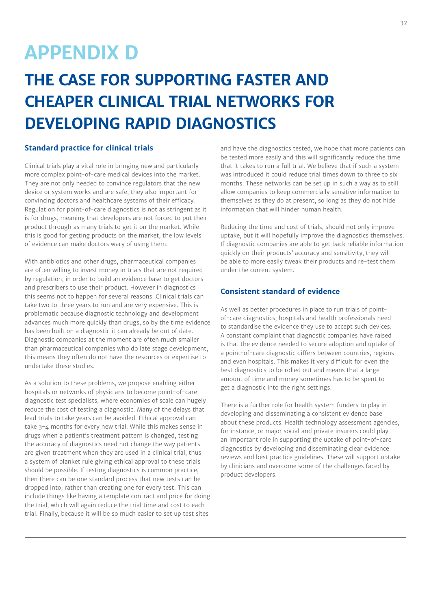# **APPENDIX D**

# **THE CASE FOR SUPPORTING FASTER AND CHEAPER CLINICAL TRIAL NETWORKS FOR DEVELOPING RAPID DIAGNOSTICS**

#### **Standard practice for clinical trials**

Clinical trials play a vital role in bringing new and particularly more complex point-of-care medical devices into the market. They are not only needed to convince regulators that the new device or system works and are safe, they also important for convincing doctors and healthcare systems of their efficacy. Regulation for point-of-care diagnostics is not as stringent as it is for drugs, meaning that developers are not forced to put their product through as many trials to get it on the market. While this is good for getting products on the market, the low levels of evidence can make doctors wary of using them.

With antibiotics and other drugs, pharmaceutical companies are often willing to invest money in trials that are not required by regulation, in order to build an evidence base to get doctors and prescribers to use their product. However in diagnostics this seems not to happen for several reasons. Clinical trials can take two to three years to run and are very expensive. This is problematic because diagnostic technology and development advances much more quickly than drugs, so by the time evidence has been built on a diagnostic it can already be out of date. Diagnostic companies at the moment are often much smaller than pharmaceutical companies who do late stage development, this means they often do not have the resources or expertise to undertake these studies.

As a solution to these problems, we propose enabling either hospitals or networks of physicians to become point-of-care diagnostic test specialists, where economies of scale can hugely reduce the cost of testing a diagnostic. Many of the delays that lead trials to take years can be avoided. Ethical approval can take 3-4 months for every new trial. While this makes sense in drugs when a patient's treatment pattern is changed, testing the accuracy of diagnostics need not change the way patients are given treatment when they are used in a clinical trial, thus a system of blanket rule giving ethical approval to these trials should be possible. If testing diagnostics is common practice, then there can be one standard process that new tests can be dropped into, rather than creating one for every test. This can include things like having a template contract and price for doing the trial, which will again reduce the trial time and cost to each trial. Finally, because it will be so much easier to set up test sites

and have the diagnostics tested, we hope that more patients can be tested more easily and this will significantly reduce the time that it takes to run a full trial. We believe that if such a system was introduced it could reduce trial times down to three to six months. These networks can be set up in such a way as to still allow companies to keep commercially sensitive information to themselves as they do at present, so long as they do not hide information that will hinder human health.

Reducing the time and cost of trials, should not only improve uptake, but it will hopefully improve the diagnostics themselves. If diagnostic companies are able to get back reliable information quickly on their products' accuracy and sensitivity, they will be able to more easily tweak their products and re-test them under the current system.

#### **Consistent standard of evidence**

As well as better procedures in place to run trials of pointof-care diagnostics, hospitals and health professionals need to standardise the evidence they use to accept such devices. A constant complaint that diagnostic companies have raised is that the evidence needed to secure adoption and uptake of a point-of-care diagnostic differs between countries, regions and even hospitals. This makes it very difficult for even the best diagnostics to be rolled out and means that a large amount of time and money sometimes has to be spent to get a diagnostic into the right settings.

There is a further role for health system funders to play in developing and disseminating a consistent evidence base about these products. Health technology assessment agencies, for instance, or major social and private insurers could play an important role in supporting the uptake of point-of-care diagnostics by developing and disseminating clear evidence reviews and best practice guidelines. These will support uptake by clinicians and overcome some of the challenges faced by product developers.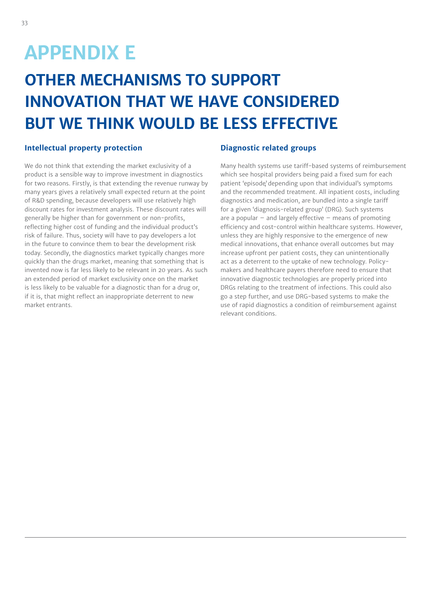# **APPENDIX E**

# **OTHER MECHANISMS TO SUPPORT INNOVATION THAT WE HAVE CONSIDERED BUT WE THINK WOULD BE LESS EFFECTIVE**

#### **Intellectual property protection**

We do not think that extending the market exclusivity of a product is a sensible way to improve investment in diagnostics for two reasons. Firstly, is that extending the revenue runway by many years gives a relatively small expected return at the point of R&D spending, because developers will use relatively high discount rates for investment analysis. These discount rates will generally be higher than for government or non-profits, reflecting higher cost of funding and the individual product's risk of failure. Thus, society will have to pay developers a lot in the future to convince them to bear the development risk today. Secondly, the diagnostics market typically changes more quickly than the drugs market, meaning that something that is invented now is far less likely to be relevant in 20 years. As such an extended period of market exclusivity once on the market is less likely to be valuable for a diagnostic than for a drug or, if it is, that might reflect an inappropriate deterrent to new market entrants.

#### **Diagnostic related groups**

Many health systems use tariff-based systems of reimbursement which see hospital providers being paid a fixed sum for each patient 'episode' depending upon that individual's symptoms and the recommended treatment. All inpatient costs, including diagnostics and medication, are bundled into a single tariff for a given 'diagnosis-related group' (DRG). Such systems are a popular  $-$  and largely effective  $-$  means of promoting efficiency and cost-control within healthcare systems. However, unless they are highly responsive to the emergence of new medical innovations, that enhance overall outcomes but may increase upfront per patient costs, they can unintentionally act as a deterrent to the uptake of new technology. Policymakers and healthcare payers therefore need to ensure that innovative diagnostic technologies are properly priced into DRGs relating to the treatment of infections. This could also go a step further, and use DRG-based systems to make the use of rapid diagnostics a condition of reimbursement against relevant conditions.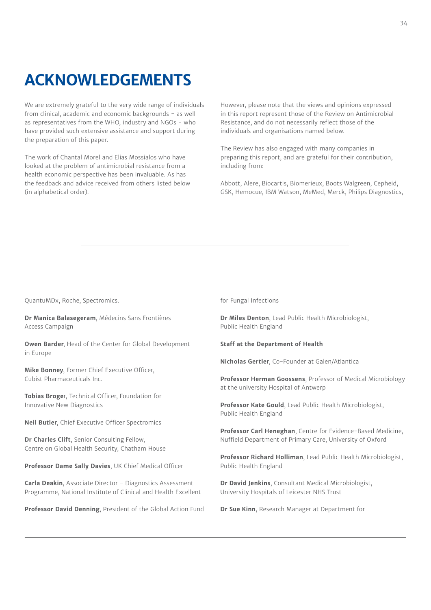## **ACKNOWLEDGEMENTS**

We are extremely grateful to the very wide range of individuals from clinical, academic and economic backgrounds - as well as representatives from the WHO, industry and NGOs - who have provided such extensive assistance and support during the preparation of this paper.

The work of Chantal Morel and Elias Mossialos who have looked at the problem of antimicrobial resistance from a health economic perspective has been invaluable. As has the feedback and advice received from others listed below (in alphabetical order).

However, please note that the views and opinions expressed in this report represent those of the Review on Antimicrobial Resistance, and do not necessarily reflect those of the individuals and organisations named below.

The Review has also engaged with many companies in preparing this report, and are grateful for their contribution, including from:

Abbott, Alere, Biocartis, Biomerieux, Boots Walgreen, Cepheid, GSK, Hemocue, IBM Watson, MeMed, Merck, Philips Diagnostics,

QuantuMDx, Roche, Spectromics.

**Dr Manica Balasegeram**, Médecins Sans Frontières Access Campaign

**Owen Barder**, Head of the Center for Global Development in Europe

**Mike Bonney**, Former Chief Executive Officer, Cubist Pharmaceuticals Inc.

**Tobias Broge**r, Technical Officer, Foundation for Innovative New Diagnostics

**Neil Butler**, Chief Executive Officer Spectromics

**Dr Charles Clift**, Senior Consulting Fellow, Centre on Global Health Security, Chatham House

**Professor Dame Sally Davies**, UK Chief Medical Officer

**Carla Deakin**, Associate Director - Diagnostics Assessment Programme, National Institute of Clinical and Health Excellent

**Professor David Denning**, President of the Global Action Fund

for Fungal Infections

**Dr Miles Denton**, Lead Public Health Microbiologist, Public Health England

**Staff at the Department of Health**

**Nicholas Gertler**, Co-Founder at Galen/Atlantica

**Professor Herman Goossens**, Professor of Medical Microbiology at the university Hospital of Antwerp

**Professor Kate Gould**, Lead Public Health Microbiologist, Public Health England

**Professor Carl Heneghan**, Centre for Evidence-Based Medicine, Nuffield Department of Primary Care, University of Oxford

**Professor Richard Holliman**, Lead Public Health Microbiologist, Public Health England

**Dr David Jenkins**, Consultant Medical Microbiologist, University Hospitals of Leicester NHS Trust

**Dr Sue Kinn**, Research Manager at Department for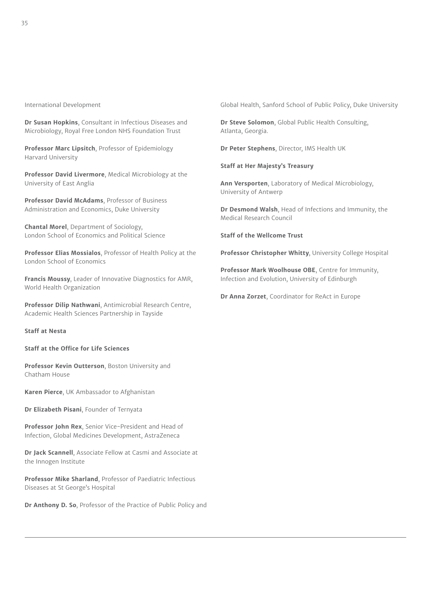International Development

**Dr Susan Hopkins**, Consultant in Infectious Diseases and Microbiology, Royal Free London NHS Foundation Trust

**Professor Marc Lipsitch**, Professor of Epidemiology Harvard University

**Professor David Livermore**, Medical Microbiology at the University of East Anglia

**Professor David McAdams**, Professor of Business Administration and Economics, Duke University

**Chantal Morel**, Department of Sociology, London School of Economics and Political Science

**Professor Elias Mossialos**, Professor of Health Policy at the London School of Economics

**Francis Moussy**, Leader of Innovative Diagnostics for AMR, World Health Organization

**Professor Dilip Nathwani**, Antimicrobial Research Centre, Academic Health Sciences Partnership in Tayside

**Staff at Nesta**

**Staff at the Office for Life Sciences**

**Professor Kevin Outterson**, Boston University and Chatham House

**Karen Pierce**, UK Ambassador to Afghanistan

**Dr Elizabeth Pisani**, Founder of Ternyata

**Professor John Rex**, Senior Vice-President and Head of Infection, Global Medicines Development, AstraZeneca

**Dr Jack Scannell**, Associate Fellow at Casmi and Associate at the Innogen Institute

**Professor Mike Sharland**, Professor of Paediatric Infectious Diseases at St George's Hospital

**Dr Anthony D. So**, Professor of the Practice of Public Policy and

Global Health, Sanford School of Public Policy, Duke University

**Dr Steve Solomon**, Global Public Health Consulting, Atlanta, Georgia.

**Dr Peter Stephens**, Director, IMS Health UK

**Staff at Her Majesty's Treasury**

**Ann Versporten**, Laboratory of Medical Microbiology, University of Antwerp

**Dr Desmond Walsh**, Head of Infections and Immunity, the Medical Research Council

**Staff of the Wellcome Trust**

**Professor Christopher Whitty**, University College Hospital

**Professor Mark Woolhouse OBE**, Centre for Immunity, Infection and Evolution, University of Edinburgh

**Dr Anna Zorzet**, Coordinator for ReAct in Europe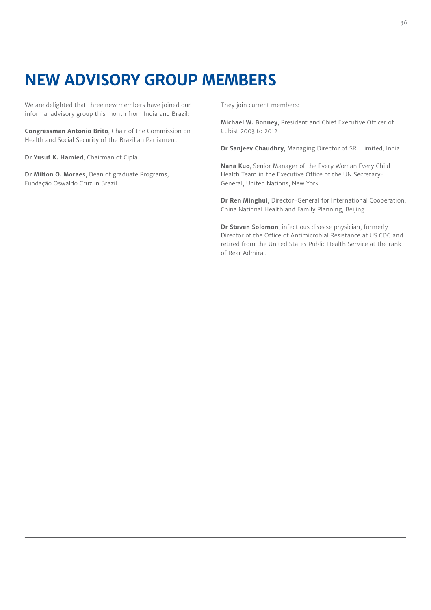## **NEW ADVISORY GROUP MEMBERS**

We are delighted that three new members have joined our informal advisory group this month from India and Brazil:

**Congressman Antonio Brito**, Chair of the Commission on Health and Social Security of the Brazilian Parliament

**Dr Yusuf K. Hamied**, Chairman of Cipla

**Dr Milton O. Moraes**, Dean of graduate Programs, Fundação Oswaldo Cruz in Brazil

They join current members:

**Michael W. Bonney**, President and Chief Executive Officer of Cubist 2003 to 2012

**Dr Sanjeev Chaudhry**, Managing Director of SRL Limited, India

**Nana Kuo**, Senior Manager of the Every Woman Every Child Health Team in the Executive Office of the UN Secretary-General, United Nations, New York

**Dr Ren Minghui**, Director-General for International Cooperation, China National Health and Family Planning, Beijing

**Dr Steven Solomon**, infectious disease physician, formerly Director of the Office of Antimicrobial Resistance at US CDC and retired from the United States Public Health Service at the rank of Rear Admiral.